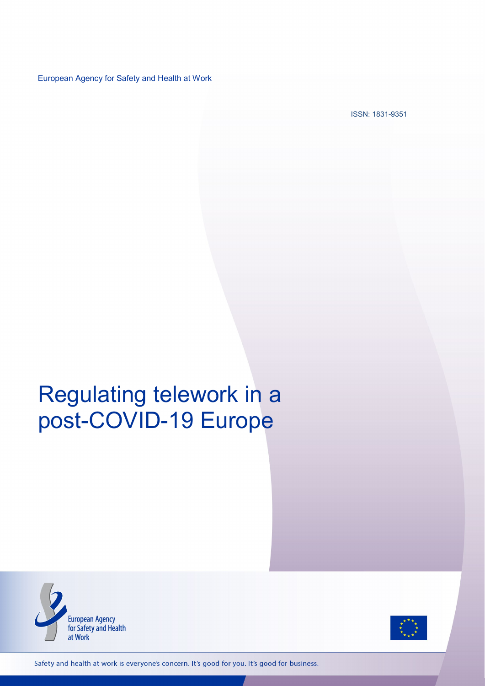European Agency for Safety and Health at Work

ISSN: 1831-9351

# Regulating telework in a post-COVID-19 Europe





Safety and health at work is everyone's concern. It's good for you. It's good for business.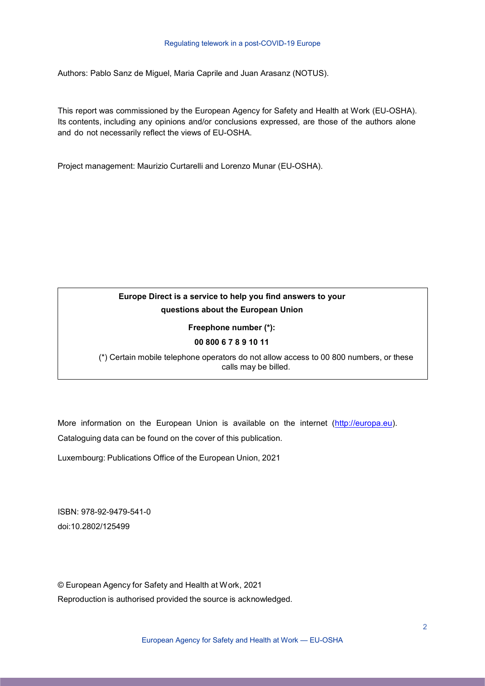#### Regulating telework in a post-COVID-19 Europe

Authors: Pablo Sanz de Miguel, Maria Caprile and Juan Arasanz (NOTUS).

This report was commissioned by the European Agency for Safety and Health at Work (EU-OSHA). Its contents, including any opinions and/or conclusions expressed, are those of the authors alone and do not necessarily reflect the views of EU-OSHA.

Project management: Maurizio Curtarelli and Lorenzo Munar (EU-OSHA).

### **Europe Direct is a service to help you find answers to your questions about the European Union**

#### **Freephone number (\*):**

#### **00 800 6 7 8 9 10 11**

(\*) Certain mobile telephone operators do not allow access to 00 800 numbers, or these calls may be billed.

More information on the European Union is available on the internet [\(http://europa.eu\)](http://europa.eu/). Cataloguing data can be found on the cover of this publication.

Luxembourg: Publications Office of the European Union, 2021

ISBN: 978-92-9479-541-0 doi:10.2802/125499

© European Agency for Safety and Health at Work, 2021 Reproduction is authorised provided the source is acknowledged.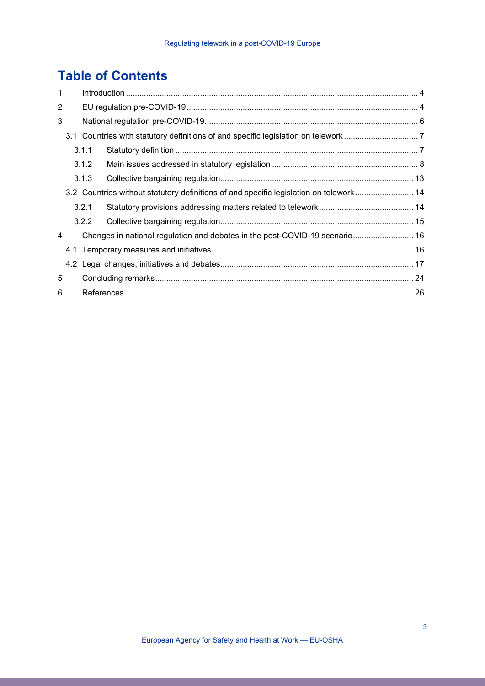# **Table of Contents**

| $\mathbf 1$ |  |       |                                                                                        |  |  |  |
|-------------|--|-------|----------------------------------------------------------------------------------------|--|--|--|
| 2           |  |       |                                                                                        |  |  |  |
| 3           |  |       |                                                                                        |  |  |  |
|             |  |       |                                                                                        |  |  |  |
| 3.1.1       |  |       |                                                                                        |  |  |  |
|             |  | 3.1.2 |                                                                                        |  |  |  |
|             |  | 3.1.3 |                                                                                        |  |  |  |
|             |  |       | 3.2 Countries without statutory definitions of and specific legislation on telework 14 |  |  |  |
|             |  | 3.2.1 |                                                                                        |  |  |  |
|             |  | 3.2.2 |                                                                                        |  |  |  |
| 4           |  |       | Changes in national regulation and debates in the post-COVID-19 scenario 16            |  |  |  |
|             |  |       |                                                                                        |  |  |  |
|             |  |       |                                                                                        |  |  |  |
| 5           |  |       |                                                                                        |  |  |  |
| 6           |  |       |                                                                                        |  |  |  |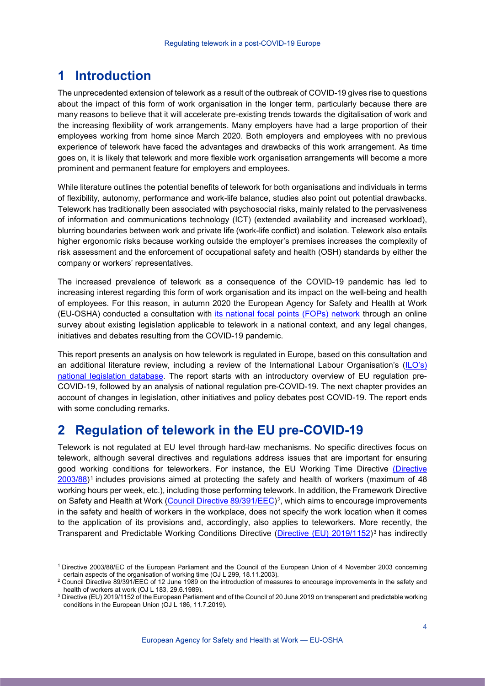# <span id="page-3-0"></span>**1 Introduction**

The unprecedented extension of telework as a result of the outbreak of COVID-19 gives rise to questions about the impact of this form of work organisation in the longer term, particularly because there are many reasons to believe that it will accelerate pre-existing trends towards the digitalisation of work and the increasing flexibility of work arrangements. Many employers have had a large proportion of their employees working from home since March 2020. Both employers and employees with no previous experience of telework have faced the advantages and drawbacks of this work arrangement. As time goes on, it is likely that telework and more flexible work organisation arrangements will become a more prominent and permanent feature for employers and employees.

While literature outlines the potential benefits of telework for both organisations and individuals in terms of flexibility, autonomy, performance and work-life balance, studies also point out potential drawbacks. Telework has traditionally been associated with psychosocial risks, mainly related to the pervasiveness of information and communications technology (ICT) (extended availability and increased workload), blurring boundaries between work and private life (work-life conflict) and isolation. Telework also entails higher ergonomic risks because working outside the employer's premises increases the complexity of risk assessment and the enforcement of occupational safety and health (OSH) standards by either the company or workers' representatives.

The increased prevalence of telework as a consequence of the COVID-19 pandemic has led to increasing interest regarding this form of work organisation and its impact on the well-being and health of employees. For this reason, in autumn 2020 the European Agency for Safety and Health at Work (EU-OSHA) conducted a consultation with [its national focal points](https://osha.europa.eu/en/about-eu-osha/national-focal-points/focal-points-index) (FOPs) network through an online survey about existing legislation applicable to telework in a national context, and any legal changes, initiatives and debates resulting from the COVID-19 pandemic.

This report presents an analysis on how telework is regulated in Europe, based on this consultation and an additional literature review, including a review of the International Labour Organisation's [\(ILO's\)](https://www.ilo.org/inform/online-information-resources/national-legislation/lang--en/index.htm)  [national legislation](https://www.ilo.org/inform/online-information-resources/national-legislation/lang--en/index.htm) database. The report starts with an introductory overview of EU regulation pre-COVID-19, followed by an analysis of national regulation pre-COVID-19. The next chapter provides an account of changes in legislation, other initiatives and policy debates post COVID-19. The report ends with some concluding remarks.

# <span id="page-3-1"></span>**2 Regulation of telework in the EU pre-COVID-19**

Telework is not regulated at EU level through hard-law mechanisms. No specific directives focus on telework, although several directives and regulations address issues that are important for ensuring good working conditions for teleworkers. For instance, the EU Working Time Directive [\(Directive](https://eur-lex.europa.eu/legal-content/EN/TXT/HTML/?uri=CELEX:32003L0088&from=EN)  [2003/88\)](https://eur-lex.europa.eu/legal-content/EN/TXT/HTML/?uri=CELEX:32003L0088&from=EN)[1](#page-3-2) includes provisions aimed at protecting the safety and health of workers (maximum of 48 working hours per week, etc.), including those performing telework. In addition, the Framework Directive on Safety and Health at Work [\(Council Directive 89/391/EEC\)](https://eur-lex.europa.eu/legal-content/EN/TXT/HTML/?uri=CELEX:31989L0391&from=EN)<sup>[2](#page-3-3)</sup>, which aims to encourage improvements in the safety and health of workers in the workplace, does not specify the work location when it comes to the application of its provisions and, accordingly, also applies to teleworkers. More recently, the Transparent and Predictable Working Conditions Directive [\(Directive \(EU\) 2019/1152\)](https://eur-lex.europa.eu/legal-content/EN/TXT/HTML/?uri=CELEX:32019L1152&from=EN)<sup>[3](#page-3-4)</sup> has indirectly

<span id="page-3-2"></span> <sup>1</sup> Directive 2003/88/EC of the European Parliament and the Council of the European Union of 4 November 2003 concerning certain aspects of the organisation of working time (OJ L 299, 18.11.2003).

<span id="page-3-3"></span><sup>2</sup> Council Directive 89/391/EEC of 12 June 1989 on the introduction of measures to encourage improvements in the safety and health of workers at work (OJ L 183, 29.6.1989).

<span id="page-3-4"></span><sup>3</sup> Directive (EU) 2019/1152 of the European Parliament and of the Council of 20 June 2019 on transparent and predictable working conditions in the European Union (OJ L 186, 11.7.2019).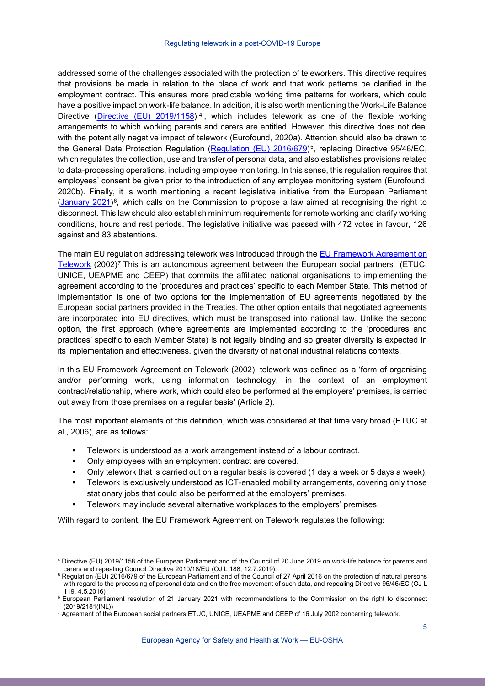#### Regulating telework in a post-COVID-19 Europe

addressed some of the challenges associated with the protection of teleworkers. This directive requires that provisions be made in relation to the place of work and that work patterns be clarified in the employment contract. This ensures more predictable working time patterns for workers, which could have a positive impact on work-life balance. In addition, it is also worth mentioning the Work-Life Balance Directive [\(Directive \(EU\) 2019/1158\)](https://eur-lex.europa.eu/legal-content/EN/TXT/HTML/?uri=CELEX:32019L1158&from=EN)<sup>[4](#page-4-0)</sup>, which includes telework as one of the flexible working arrangements to which working parents and carers are entitled. However, this directive does not deal with the potentially negative impact of telework (Eurofound, 2020a). Attention should also be drawn to the General Data Protection Regulation [\(Regulation](https://eur-lex.europa.eu/legal-content/EN/TXT/HTML/?uri=CELEX:32016R0679&from=EN) (EU) 2016/679)<sup>[5](#page-4-1)</sup>, replacing Directive 95/46/EC, which regulates the collection, use and transfer of personal data, and also establishes provisions related to data-processing operations, including employee monitoring. In this sense, this regulation requires that employees' consent be given prior to the introduction of any employee monitoring system (Eurofound, 2020b). Finally, it is worth mentioning a recent legislative initiative from the European Parliament (January  $2021$ <sup>[6](#page-4-2)</sup>, which calls on the Commission to propose a law aimed at recognising the right to disconnect. This law should also establish minimum requirements for remote working and clarify working conditions, hours and rest periods. The legislative initiative was passed with 472 votes in favour, 126 against and 83 abstentions.

The main EU regulation addressing telework was introduced through the [EU Framework Agreement on](https://www.etuc.org/en/framework-agreement-telework)  [Telework](https://www.etuc.org/en/framework-agreement-telework)  $(2002)^7$  $(2002)^7$  This is an autonomous agreement between the European social partners (ETUC, UNICE, UEAPME and CEEP) that commits the affiliated national organisations to implementing the agreement according to the 'procedures and practices' specific to each Member State. This method of implementation is one of two options for the implementation of EU agreements negotiated by the European social partners provided in the Treaties. The other option entails that negotiated agreements are incorporated into EU directives, which must be transposed into national law. Unlike the second option, the first approach (where agreements are implemented according to the 'procedures and practices' specific to each Member State) is not legally binding and so greater diversity is expected in its implementation and effectiveness, given the diversity of national industrial relations contexts.

In this EU Framework Agreement on Telework (2002), telework was defined as a 'form of organising and/or performing work, using information technology, in the context of an employment contract/relationship, where work, which could also be performed at the employers' premises, is carried out away from those premises on a regular basis' (Article 2).

The most important elements of this definition, which was considered at that time very broad (ETUC et al., 2006), are as follows:

- Telework is understood as a work arrangement instead of a labour contract.
- Only employees with an employment contract are covered.
- Only telework that is carried out on a regular basis is covered (1 day a week or 5 days a week).
- Telework is exclusively understood as ICT-enabled mobility arrangements, covering only those stationary jobs that could also be performed at the employers' premises.
- Telework may include several alternative workplaces to the employers' premises.

With regard to content, the EU Framework Agreement on Telework regulates the following:

<span id="page-4-0"></span> <sup>4</sup> Directive (EU) 2019/1158 of the European Parliament and of the Council of 20 June 2019 on work-life balance for parents and carers and repealing Council Directive 2010/18/EU (OJ L 188, 12.7.2019).

<span id="page-4-1"></span><sup>5</sup> Regulation (EU) 2016/679 of the European Parliament and of the Council of 27 April 2016 on the protection of natural persons with regard to the processing of personal data and on the free movement of such data, and repealing Directive 95/46/EC (OJ L 119, 4.5.2016)

<span id="page-4-2"></span><sup>&</sup>lt;sup>6</sup> European Parliament resolution of 21 January 2021 with recommendations to the Commission on the right to disconnect (2019/2181(INL))

<span id="page-4-3"></span><sup>&</sup>lt;sup>7</sup> Agreement of the European social partners ETUC, UNICE, UEAPME and CEEP of 16 July 2002 concerning telework.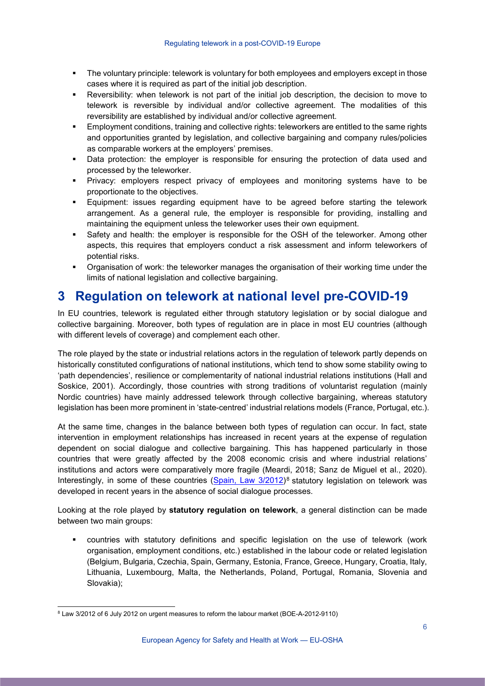- The voluntary principle: telework is voluntary for both employees and employers except in those cases where it is required as part of the initial job description.
- Reversibility: when telework is not part of the initial job description, the decision to move to telework is reversible by individual and/or collective agreement. The modalities of this reversibility are established by individual and/or collective agreement.
- Employment conditions, training and collective rights: teleworkers are entitled to the same rights and opportunities granted by legislation, and collective bargaining and company rules/policies as comparable workers at the employers' premises.
- Data protection: the employer is responsible for ensuring the protection of data used and processed by the teleworker.
- Privacy: employers respect privacy of employees and monitoring systems have to be proportionate to the objectives.
- Equipment: issues regarding equipment have to be agreed before starting the telework arrangement. As a general rule, the employer is responsible for providing, installing and maintaining the equipment unless the teleworker uses their own equipment.
- Safety and health: the employer is responsible for the OSH of the teleworker. Among other aspects, this requires that employers conduct a risk assessment and inform teleworkers of potential risks.
- Organisation of work: the teleworker manages the organisation of their working time under the limits of national legislation and collective bargaining.

# <span id="page-5-0"></span>**3 Regulation on telework at national level pre-COVID-19**

In EU countries, telework is regulated either through statutory legislation or by social dialogue and collective bargaining. Moreover, both types of regulation are in place in most EU countries (although with different levels of coverage) and complement each other.

The role played by the state or industrial relations actors in the regulation of telework partly depends on historically constituted configurations of national institutions, which tend to show some stability owing to 'path dependencies', resilience or complementarity of national industrial relations institutions (Hall and Soskice, 2001). Accordingly, those countries with strong traditions of voluntarist regulation (mainly Nordic countries) have mainly addressed telework through collective bargaining, whereas statutory legislation has been more prominent in 'state-centred' industrial relations models (France, Portugal, etc.).

At the same time, changes in the balance between both types of regulation can occur. In fact, state intervention in employment relationships has increased in recent years at the expense of regulation dependent on social dialogue and collective bargaining. This has happened particularly in those countries that were greatly affected by the 2008 economic crisis and where industrial relations' institutions and actors were comparatively more fragile (Meardi, 2018; Sanz de Miguel et al., 2020). Interestingly, in some of these countries [\(Spain, Law 3/2012\)](https://www.boe.es/diario_boe/txt.php?id=BOE-A-2012-9110)<sup>[8](#page-5-1)</sup> statutory legislation on telework was developed in recent years in the absence of social dialogue processes.

Looking at the role played by **statutory regulation on telework**, a general distinction can be made between two main groups:

 countries with statutory definitions and specific legislation on the use of telework (work organisation, employment conditions, etc.) established in the labour code or related legislation (Belgium, Bulgaria, Czechia, Spain, Germany, Estonia, France, Greece, Hungary, Croatia, Italy, Lithuania, Luxembourg, Malta, the Netherlands, Poland, Portugal, Romania, Slovenia and Slovakia);

<span id="page-5-1"></span> <sup>8</sup> Law 3/2012 of 6 July 2012 on urgent measures to reform the labour market (BOE-A-2012-9110)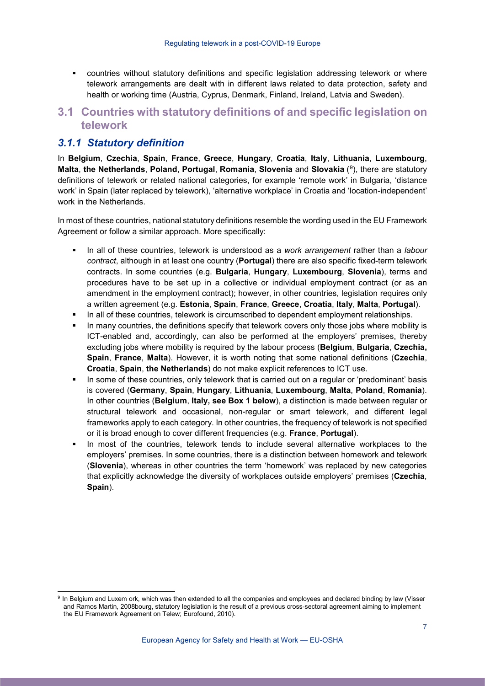countries without statutory definitions and specific legislation addressing telework or where telework arrangements are dealt with in different laws related to data protection, safety and health or working time (Austria, Cyprus, Denmark, Finland, Ireland, Latvia and Sweden).

# <span id="page-6-0"></span>**3.1 Countries with statutory definitions of and specific legislation on telework**

### <span id="page-6-1"></span>*3.1.1 Statutory definition*

In **Belgium**, **Czechia**, **Spain**, **France**, **Greece**, **Hungary**, **Croatia**, **Italy**, **Lithuania**, **Luxembourg**, **Malta**, **the Netherlands**, **Poland**, **Portugal**, **Romania**, **Slovenia** and **Slovakia** ([9](#page-6-2)), there are statutory definitions of telework or related national categories, for example 'remote work' in Bulgaria, 'distance work' in Spain (later replaced by telework), 'alternative workplace' in Croatia and 'location-independent' work in the Netherlands.

In most of these countries, national statutory definitions resemble the wording used in the EU Framework Agreement or follow a similar approach. More specifically:

- In all of these countries, telework is understood as a *work arrangement* rather than a *labour contract*, although in at least one country (**Portugal**) there are also specific fixed-term telework contracts. In some countries (e.g. **Bulgaria**, **Hungary**, **Luxembourg**, **Slovenia**), terms and procedures have to be set up in a collective or individual employment contract (or as an amendment in the employment contract); however, in other countries, legislation requires only a written agreement (e.g. **Estonia**, **Spain**, **France**, **Greece**, **Croatia**, **Italy**, **Malta**, **Portugal**).
- In all of these countries, telework is circumscribed to dependent employment relationships.
- In many countries, the definitions specify that telework covers only those jobs where mobility is ICT-enabled and, accordingly, can also be performed at the employers' premises, thereby excluding jobs where mobility is required by the labour process (**Belgium**, **Bulgaria**, **Czechia, Spain**, **France**, **Malta**). However, it is worth noting that some national definitions (**Czechia**, **Croatia**, **Spain**, **the Netherlands**) do not make explicit references to ICT use.
- In some of these countries, only telework that is carried out on a regular or 'predominant' basis is covered (**Germany**, **Spain**, **Hungary**, **Lithuania**, **Luxembourg**, **Malta**, **Poland**, **Romania**). In other countries (**Belgium**, **Italy, see Box 1 below**), a distinction is made between regular or structural telework and occasional, non-regular or smart telework, and different legal frameworks apply to each category. In other countries, the frequency of telework is not specified or it is broad enough to cover different frequencies (e.g. **France**, **Portugal**).
- In most of the countries, telework tends to include several alternative workplaces to the employers' premises. In some countries, there is a distinction between homework and telework (**Slovenia**), whereas in other countries the term 'homework' was replaced by new categories that explicitly acknowledge the diversity of workplaces outside employers' premises (**Czechia**, **Spain**).

<span id="page-6-2"></span><sup>&</sup>lt;sup>9</sup> In Belgium and Luxem ork, which was then extended to all the companies and employees and declared binding by law (Visser and Ramos Martin, 2008bourg, statutory legislation is the result of a previous cross-sectoral agreement aiming to implement the EU Framework Agreement on Telew; Eurofound, 2010).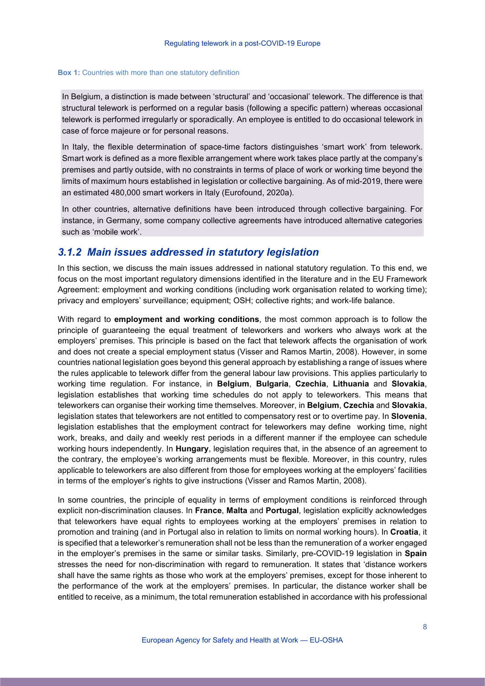#### **Box 1:** Countries with more than one statutory definition

In Belgium, a distinction is made between 'structural' and 'occasional' telework. The difference is that structural telework is performed on a regular basis (following a specific pattern) whereas occasional telework is performed irregularly or sporadically. An employee is entitled to do occasional telework in case of force majeure or for personal reasons.

In Italy, the flexible determination of space-time factors distinguishes 'smart work' from telework. Smart work is defined as a more flexible arrangement where work takes place partly at the company's premises and partly outside, with no constraints in terms of place of work or working time beyond the limits of maximum hours established in legislation or collective bargaining. As of mid-2019, there were an estimated 480,000 smart workers in Italy (Eurofound, 2020a).

In other countries, alternative definitions have been introduced through collective bargaining. For instance, in Germany, some company collective agreements have introduced alternative categories such as 'mobile work'.

### <span id="page-7-0"></span>*3.1.2 Main issues addressed in statutory legislation*

In this section, we discuss the main issues addressed in national statutory regulation. To this end, we focus on the most important regulatory dimensions identified in the literature and in the EU Framework Agreement: employment and working conditions (including work organisation related to working time); privacy and employers' surveillance; equipment; OSH; collective rights; and work-life balance.

With regard to **employment and working conditions**, the most common approach is to follow the principle of guaranteeing the equal treatment of teleworkers and workers who always work at the employers' premises. This principle is based on the fact that telework affects the organisation of work and does not create a special employment status (Visser and Ramos Martin, 2008). However, in some countries national legislation goes beyond this general approach by establishing a range of issues where the rules applicable to telework differ from the general labour law provisions. This applies particularly to working time regulation. For instance, in **Belgium**, **Bulgaria**, **Czechia**, **Lithuania** and **Slovakia**, legislation establishes that working time schedules do not apply to teleworkers. This means that teleworkers can organise their working time themselves. Moreover, in **Belgium**, **Czechia** and **Slovakia**, legislation states that teleworkers are not entitled to compensatory rest or to overtime pay. In **Slovenia**, legislation establishes that the employment contract for teleworkers may define working time, night work, breaks, and daily and weekly rest periods in a different manner if the employee can schedule working hours independently. In **Hungary**, legislation requires that, in the absence of an agreement to the contrary, the employee's working arrangements must be flexible. Moreover, in this country, rules applicable to teleworkers are also different from those for employees working at the employers' facilities in terms of the employer's rights to give instructions (Visser and Ramos Martin, 2008).

In some countries, the principle of equality in terms of employment conditions is reinforced through explicit non-discrimination clauses. In **France**, **Malta** and **Portugal**, legislation explicitly acknowledges that teleworkers have equal rights to employees working at the employers' premises in relation to promotion and training (and in Portugal also in relation to limits on normal working hours). In **Croatia**, it is specified that a teleworker's remuneration shall not be less than the remuneration of a worker engaged in the employer's premises in the same or similar tasks. Similarly, pre-COVID-19 legislation in **Spain** stresses the need for non-discrimination with regard to remuneration. It states that 'distance workers shall have the same rights as those who work at the employers' premises, except for those inherent to the performance of the work at the employers' premises. In particular, the distance worker shall be entitled to receive, as a minimum, the total remuneration established in accordance with his professional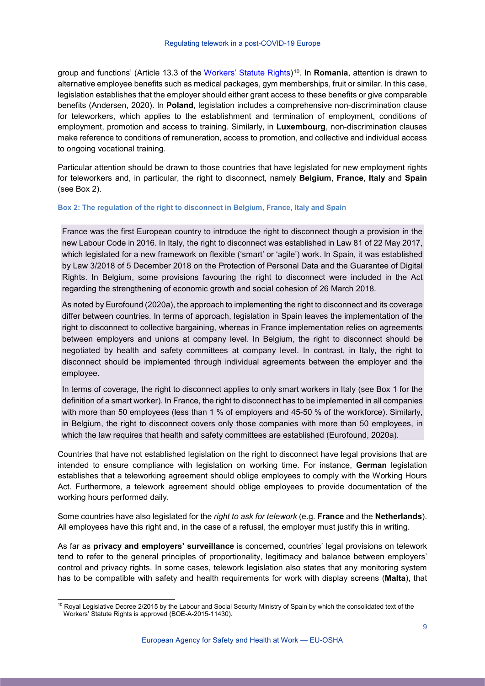group and functions' (Article 13.3 of the Workers' [Statute Rights\)](https://www.boe.es/buscar/act.php?id=BOE-A-2015-11430)[10](#page-8-0)*.* In **Romania**, attention is drawn to alternative employee benefits such as medical packages, gym memberships, fruit or similar. In this case, legislation establishes that the employer should either grant access to these benefits or give comparable benefits (Andersen, 2020). In **Poland**, legislation includes a comprehensive non-discrimination clause for teleworkers, which applies to the establishment and termination of employment, conditions of employment, promotion and access to training. Similarly, in **Luxembourg**, non-discrimination clauses make reference to conditions of remuneration, access to promotion, and collective and individual access to ongoing vocational training.

Particular attention should be drawn to those countries that have legislated for new employment rights for teleworkers and, in particular, the right to disconnect, namely **Belgium**, **France**, **Italy** and **Spain**  (see Box 2).

#### **Box 2: The regulation of the right to disconnect in Belgium, France, Italy and Spain**

France was the first European country to introduce the right to disconnect though a provision in the new Labour Code in 2016. In Italy, the right to disconnect was established in Law 81 of 22 May 2017, which legislated for a new framework on flexible ('smart' or 'agile') work. In Spain, it was established by Law 3/2018 of 5 December 2018 on the Protection of Personal Data and the Guarantee of Digital Rights. In Belgium, some provisions favouring the right to disconnect were included in the Act regarding the strengthening of economic growth and social cohesion of 26 March 2018.

As noted by Eurofound (2020a), the approach to implementing the right to disconnect and its coverage differ between countries. In terms of approach, legislation in Spain leaves the implementation of the right to disconnect to collective bargaining, whereas in France implementation relies on agreements between employers and unions at company level. In Belgium, the right to disconnect should be negotiated by health and safety committees at company level. In contrast, in Italy, the right to disconnect should be implemented through individual agreements between the employer and the employee.

In terms of coverage, the right to disconnect applies to only smart workers in Italy (see Box 1 for the definition of a smart worker). In France, the right to disconnect has to be implemented in all companies with more than 50 employees (less than 1 % of employers and 45-50 % of the workforce). Similarly, in Belgium, the right to disconnect covers only those companies with more than 50 employees, in which the law requires that health and safety committees are established (Eurofound, 2020a).

Countries that have not established legislation on the right to disconnect have legal provisions that are intended to ensure compliance with legislation on working time. For instance, **German** legislation establishes that a teleworking agreement should oblige employees to comply with the Working Hours Act. Furthermore, a telework agreement should oblige employees to provide documentation of the working hours performed daily.

Some countries have also legislated for the *right to ask for telework* (e.g. **France** and the **Netherlands**). All employees have this right and, in the case of a refusal, the employer must justify this in writing.

As far as **privacy and employers' surveillance** is concerned, countries' legal provisions on telework tend to refer to the general principles of proportionality, legitimacy and balance between employers' control and privacy rights. In some cases, telework legislation also states that any monitoring system has to be compatible with safety and health requirements for work with display screens (**Malta**), that

<span id="page-8-0"></span><sup>&</sup>lt;sup>10</sup> Royal Legislative Decree 2/2015 by the Labour and Social Security Ministry of Spain by which the consolidated text of the Workers' Statute Rights is approved (BOE-A-2015-11430).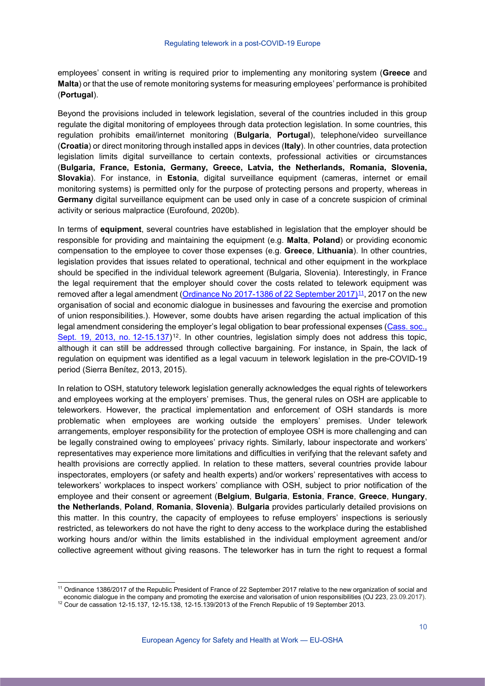employees' consent in writing is required prior to implementing any monitoring system (**Greece** and **Malta**) or that the use of remote monitoring systems for measuring employees' performance is prohibited (**Portugal**).

Beyond the provisions included in telework legislation, several of the countries included in this group regulate the digital monitoring of employees through data protection legislation. In some countries, this regulation prohibits email/internet monitoring (**Bulgaria**, **Portugal**), telephone/video surveillance (**Croatia**) or direct monitoring through installed apps in devices (**Italy**). In other countries, data protection legislation limits digital surveillance to certain contexts, professional activities or circumstances (**Bulgaria, France, Estonia, Germany, Greece, Latvia, the Netherlands, Romania, Slovenia, Slovakia**). For instance, in **Estonia**, digital surveillance equipment (cameras, internet or email monitoring systems) is permitted only for the purpose of protecting persons and property, whereas in **Germany** digital surveillance equipment can be used only in case of a concrete suspicion of criminal activity or serious malpractice (Eurofound, 2020b).

In terms of **equipment**, several countries have established in legislation that the employer should be responsible for providing and maintaining the equipment (e.g. **Malta**, **Poland**) or providing economic compensation to the employee to cover those expenses (e.g. **Greece**, **Lithuania**). In other countries, legislation provides that issues related to operational, technical and other equipment in the workplace should be specified in the individual telework agreement (Bulgaria, Slovenia). Interestingly, in France the legal requirement that the employer should cover the costs related to telework equipment was removed after a legal amendment [\(Ordinance No](https://www.legifrance.gouv.fr/loda/id/JORFTEXT000035607348/) 2017-1386 of 22 September 2017)<sup>[11](#page-9-0)</sup>, 2017 on the new [organisation of social and economic dialogue in businesses and favouring the exercise and promotion](https://www.legifrance.gouv.fr/affichTexte.do?cidTexte=JORFTEXT000035607348&categorieLien=id)  of union [responsibilities.](https://www.legifrance.gouv.fr/affichTexte.do?cidTexte=JORFTEXT000035607348&categorieLien=id)). However, some doubts have arisen regarding the actual implication of this legal amendment considering the employer's legal obligation to bear professional expenses [\(Cass. soc.,](https://www.legifrance.gouv.fr/juri/id/JURITEXT000027985208/)  [Sept. 19, 2013, no.](https://www.legifrance.gouv.fr/juri/id/JURITEXT000027985208/)  $12-15.137$  $12-15.137$ <sup>12</sup>. In other countries, legislation simply does not address this topic, although it can still be addressed through collective bargaining. For instance, in Spain, the lack of regulation on equipment was identified as a legal vacuum in telework legislation in the pre-COVID-19 period (Sierra Benítez, 2013, 2015).

In relation to OSH, statutory telework legislation generally acknowledges the equal rights of teleworkers and employees working at the employers' premises. Thus, the general rules on OSH are applicable to teleworkers. However, the practical implementation and enforcement of OSH standards is more problematic when employees are working outside the employers' premises. Under telework arrangements, employer responsibility for the protection of employee OSH is more challenging and can be legally constrained owing to employees' privacy rights. Similarly, labour inspectorate and workers' representatives may experience more limitations and difficulties in verifying that the relevant safety and health provisions are correctly applied. In relation to these matters, several countries provide labour inspectorates, employers (or safety and health experts) and/or workers' representatives with access to teleworkers' workplaces to inspect workers' compliance with OSH, subject to prior notification of the employee and their consent or agreement (**Belgium**, **Bulgaria**, **Estonia**, **France**, **Greece**, **Hungary**, **the Netherlands**, **Poland**, **Romania**, **Slovenia**). **Bulgaria** provides particularly detailed provisions on this matter. In this country, the capacity of employees to refuse employers' inspections is seriously restricted, as teleworkers do not have the right to deny access to the workplace during the established working hours and/or within the limits established in the individual employment agreement and/or collective agreement without giving reasons. The teleworker has in turn the right to request a formal

<span id="page-9-0"></span><sup>&</sup>lt;sup>11</sup> Ordinance 1386/2017 of the Republic President of France of 22 September 2017 relative to the new organization of social and economic dialogue in the company and promoting the exercise and valorisation of union responsibilities (OJ 223, 23.09.2017).

<span id="page-9-1"></span> $12$  Cour de cassation 12-15.137, 12-15.138, 12-15.139/2013 of the French Republic of 19 September 2013.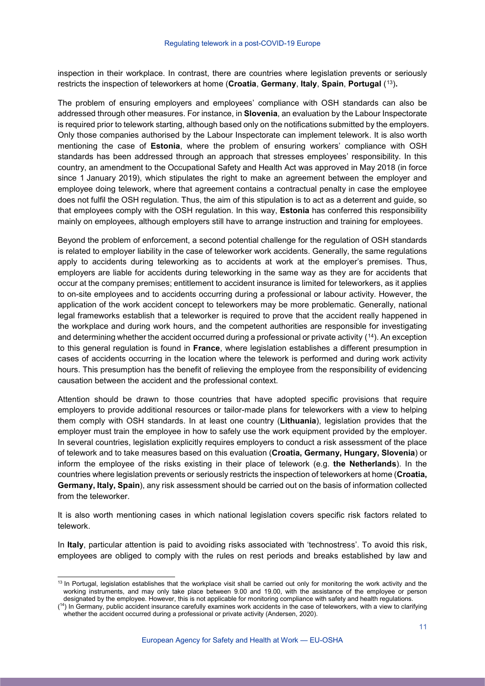inspection in their workplace. In contrast, there are countries where legislation prevents or seriously restricts the inspection of teleworkers at home (**Croatia**, **Germany**, **Italy**, **Spain**, **Portugal** ([13](#page-10-0))**.**

The problem of ensuring employers and employees' compliance with OSH standards can also be addressed through other measures. For instance, in **Slovenia**, an evaluation by the Labour Inspectorate is required prior to telework starting, although based only on the notifications submitted by the employers. Only those companies authorised by the Labour Inspectorate can implement telework. It is also worth mentioning the case of **Estonia**, where the problem of ensuring workers' compliance with OSH standards has been addressed through an approach that stresses employees' responsibility. In this country, an amendment to the Occupational Safety and Health Act was approved in May 2018 (in force since 1 January 2019), which stipulates the right to make an agreement between the employer and employee doing telework, where that agreement contains a contractual penalty in case the employee does not fulfil the OSH regulation. Thus, the aim of this stipulation is to act as a deterrent and guide, so that employees comply with the OSH regulation. In this way, **Estonia** has conferred this responsibility mainly on employees, although employers still have to arrange instruction and training for employees.

Beyond the problem of enforcement, a second potential challenge for the regulation of OSH standards is related to employer liability in the case of teleworker work accidents. Generally, the same regulations apply to accidents during teleworking as to accidents at work at the employer's premises. Thus, employers are liable for accidents during teleworking in the same way as they are for accidents that occur at the company premises; entitlement to accident insurance is limited for teleworkers, as it applies to on-site employees and to accidents occurring during a professional or labour activity. However, the application of the work accident concept to teleworkers may be more problematic. Generally, national legal frameworks establish that a teleworker is required to prove that the accident really happened in the workplace and during work hours, and the competent authorities are responsible for investigating and determining whether the accident occurred during a professional or private activity ([14](#page-10-1)). An exception to this general regulation is found in **France**, where legislation establishes a different presumption in cases of accidents occurring in the location where the telework is performed and during work activity hours. This presumption has the benefit of relieving the employee from the responsibility of evidencing causation between the accident and the professional context.

Attention should be drawn to those countries that have adopted specific provisions that require employers to provide additional resources or tailor-made plans for teleworkers with a view to helping them comply with OSH standards. In at least one country (**Lithuania**), legislation provides that the employer must train the employee in how to safely use the work equipment provided by the employer. In several countries, legislation explicitly requires employers to conduct a risk assessment of the place of telework and to take measures based on this evaluation (**Croatia, Germany, Hungary, Slovenia**) or inform the employee of the risks existing in their place of telework (e.g. **the Netherlands**). In the countries where legislation prevents or seriously restricts the inspection of teleworkers at home (**Croatia, Germany, Italy, Spain**), any risk assessment should be carried out on the basis of information collected from the teleworker.

It is also worth mentioning cases in which national legislation covers specific risk factors related to telework.

In **Italy**, particular attention is paid to avoiding risks associated with 'technostress'. To avoid this risk, employees are obliged to comply with the rules on rest periods and breaks established by law and

<span id="page-10-0"></span><sup>&</sup>lt;sup>13</sup> In Portugal, legislation establishes that the workplace visit shall be carried out only for monitoring the work activity and the working instruments, and may only take place between 9.00 and 19.00, with the assistance of the employee or person designated by the employee. However, this is not applicable for monitoring compliance with safety and health regulations.

<span id="page-10-1"></span><sup>(&</sup>lt;sup>14</sup>) In Germany, public accident insurance carefully examines work accidents in the case of teleworkers, with a view to clarifying whether the accident occurred during a professional or private activity (Andersen, 2020).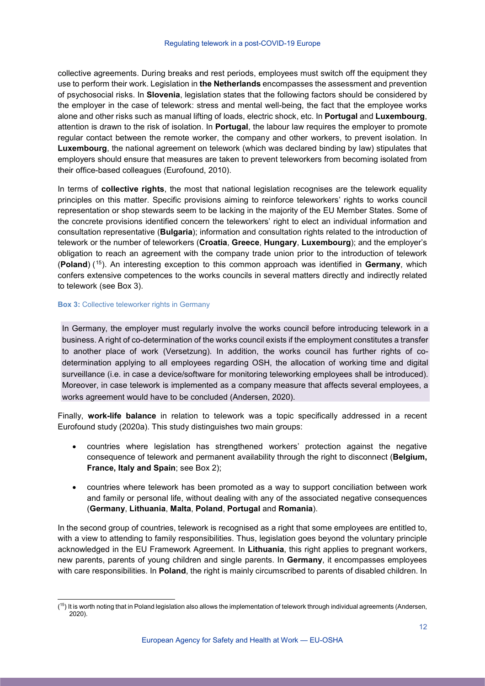collective agreements. During breaks and rest periods, employees must switch off the equipment they use to perform their work. Legislation in **the Netherlands** encompasses the assessment and prevention of psychosocial risks. In **Slovenia**, legislation states that the following factors should be considered by the employer in the case of telework: stress and mental well-being, the fact that the employee works alone and other risks such as manual lifting of loads, electric shock, etc. In **Portugal** and **Luxembourg**, attention is drawn to the risk of isolation. In **Portugal**, the labour law requires the employer to promote regular contact between the remote worker, the company and other workers, to prevent isolation. In **Luxembourg**, the national agreement on telework (which was declared binding by law) stipulates that employers should ensure that measures are taken to prevent teleworkers from becoming isolated from their office-based colleagues (Eurofound, 2010).

In terms of **collective rights**, the most that national legislation recognises are the telework equality principles on this matter. Specific provisions aiming to reinforce teleworkers' rights to works council representation or shop stewards seem to be lacking in the majority of the EU Member States. Some of the concrete provisions identified concern the teleworkers' right to elect an individual information and consultation representative (**Bulgaria**); information and consultation rights related to the introduction of telework or the number of teleworkers (**Croatia**, **Greece**, **Hungary**, **Luxembourg**); and the employer's obligation to reach an agreement with the company trade union prior to the introduction of telework (**Poland**) ([15](#page-11-0)). An interesting exception to this common approach was identified in **Germany**, which confers extensive competences to the works councils in several matters directly and indirectly related to telework (see Box 3).

#### **Box 3: Collective teleworker rights in Germany**

In Germany, the employer must regularly involve the works council before introducing telework in a business. A right of co-determination of the works council exists if the employment constitutes a transfer to another place of work (Versetzung). In addition, the works council has further rights of codetermination applying to all employees regarding OSH, the allocation of working time and digital surveillance (i.e. in case a device/software for monitoring teleworking employees shall be introduced). Moreover, in case telework is implemented as a company measure that affects several employees, a works agreement would have to be concluded (Andersen, 2020).

Finally, **work-life balance** in relation to telework was a topic specifically addressed in a recent Eurofound study (2020a). This study distinguishes two main groups:

- countries where legislation has strengthened workers' protection against the negative consequence of telework and permanent availability through the right to disconnect (**Belgium, France, Italy and Spain**; see Box 2);
- countries where telework has been promoted as a way to support conciliation between work and family or personal life, without dealing with any of the associated negative consequences (**Germany**, **Lithuania**, **Malta**, **Poland**, **Portugal** and **Romania**).

In the second group of countries, telework is recognised as a right that some employees are entitled to, with a view to attending to family responsibilities. Thus, legislation goes beyond the voluntary principle acknowledged in the EU Framework Agreement. In **Lithuania**, this right applies to pregnant workers, new parents, parents of young children and single parents. In **Germany**, it encompasses employees with care responsibilities. In **Poland**, the right is mainly circumscribed to parents of disabled children. In

<span id="page-11-0"></span><sup>.&</sup>lt;br>( (<sup>15</sup>) It is worth noting that in Poland legislation also allows the implementation of telework through individual agreements (Andersen, 2020).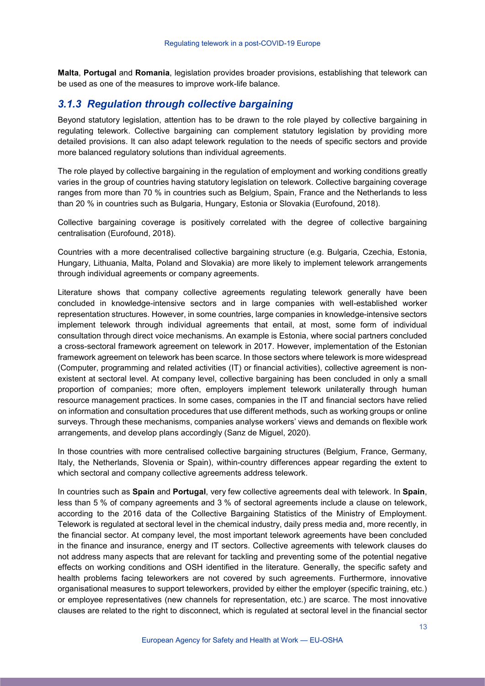**Malta**, **Portugal** and **Romania**, legislation provides broader provisions, establishing that telework can be used as one of the measures to improve work-life balance.

### <span id="page-12-0"></span>*3.1.3 Regulation through collective bargaining*

Beyond statutory legislation, attention has to be drawn to the role played by collective bargaining in regulating telework. Collective bargaining can complement statutory legislation by providing more detailed provisions. It can also adapt telework regulation to the needs of specific sectors and provide more balanced regulatory solutions than individual agreements.

The role played by collective bargaining in the regulation of employment and working conditions greatly varies in the group of countries having statutory legislation on telework. Collective bargaining coverage ranges from more than 70 % in countries such as Belgium, Spain, France and the Netherlands to less than 20 % in countries such as Bulgaria, Hungary, Estonia or Slovakia (Eurofound, 2018).

Collective bargaining coverage is positively correlated with the degree of collective bargaining centralisation (Eurofound, 2018).

Countries with a more decentralised collective bargaining structure (e.g. Bulgaria, Czechia, Estonia, Hungary, Lithuania, Malta, Poland and Slovakia) are more likely to implement telework arrangements through individual agreements or company agreements.

Literature shows that company collective agreements regulating telework generally have been concluded in knowledge-intensive sectors and in large companies with well-established worker representation structures. However, in some countries, large companies in knowledge-intensive sectors implement telework through individual agreements that entail, at most, some form of individual consultation through direct voice mechanisms. An example is Estonia, where social partners concluded a cross-sectoral framework agreement on telework in 2017. However, implementation of the Estonian framework agreement on telework has been scarce. In those sectors where telework is more widespread (Computer, programming and related activities (IT) or financial activities), collective agreement is nonexistent at sectoral level. At company level, collective bargaining has been concluded in only a small proportion of companies; more often, employers implement telework unilaterally through human resource management practices. In some cases, companies in the IT and financial sectors have relied on information and consultation procedures that use different methods, such as working groups or online surveys. Through these mechanisms, companies analyse workers' views and demands on flexible work arrangements, and develop plans accordingly (Sanz de Miguel, 2020).

In those countries with more centralised collective bargaining structures (Belgium, France, Germany, Italy, the Netherlands, Slovenia or Spain), within-country differences appear regarding the extent to which sectoral and company collective agreements address telework.

In countries such as **Spain** and **Portugal**, very few collective agreements deal with telework. In **Spain**, less than 5 % of company agreements and 3 % of sectoral agreements include a clause on telework, according to the 2016 data of the Collective Bargaining Statistics of the Ministry of Employment. Telework is regulated at sectoral level in the chemical industry, daily press media and, more recently, in the financial sector. At company level, the most important telework agreements have been concluded in the finance and insurance, energy and IT sectors. Collective agreements with telework clauses do not address many aspects that are relevant for tackling and preventing some of the potential negative effects on working conditions and OSH identified in the literature. Generally, the specific safety and health problems facing teleworkers are not covered by such agreements. Furthermore, innovative organisational measures to support teleworkers, provided by either the employer (specific training, etc.) or employee representatives (new channels for representation, etc.) are scarce. The most innovative clauses are related to the right to disconnect, which is regulated at sectoral level in the financial sector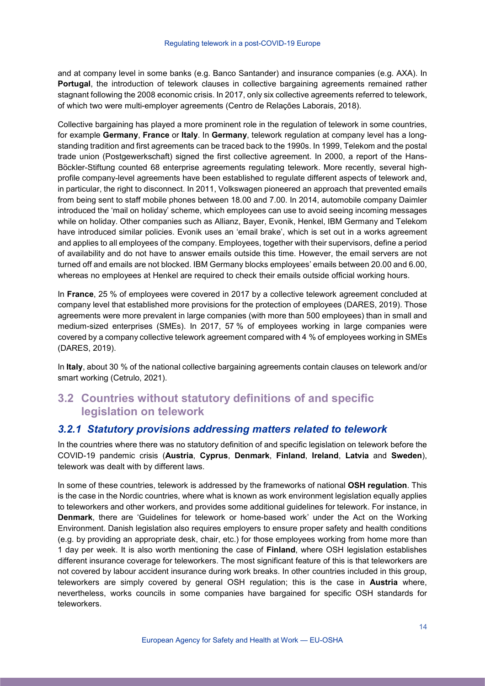and at company level in some banks (e.g. Banco Santander) and insurance companies (e.g. AXA). In **Portugal**, the introduction of telework clauses in collective bargaining agreements remained rather stagnant following the 2008 economic crisis. In 2017, only six collective agreements referred to telework, of which two were multi-employer agreements (Centro de Relações Laborais, 2018).

Collective bargaining has played a more prominent role in the regulation of telework in some countries, for example **Germany**, **France** or **Italy**. In **Germany**, telework regulation at company level has a longstanding tradition and first agreements can be traced back to the 1990s. In 1999, Telekom and the postal trade union (Postgewerkschaft) signed the first collective agreement. In 2000, a report of the Hans-Böckler-Stiftung counted 68 enterprise agreements regulating telework. More recently, several highprofile company-level agreements have been established to regulate different aspects of telework and, in particular, the right to disconnect. In 2011, Volkswagen pioneered an approach that prevented emails from being sent to staff mobile phones between 18.00 and 7.00. In 2014, automobile company Daimler introduced the 'mail on holiday' scheme, which employees can use to avoid seeing incoming messages while on holiday. Other companies such as Allianz, Bayer, Evonik, Henkel, IBM Germany and Telekom have introduced similar policies. Evonik uses an 'email brake', which is set out in a works agreement and applies to all employees of the company. Employees, together with their supervisors, define a period of availability and do not have to answer emails outside this time. However, the email servers are not turned off and emails are not blocked. IBM Germany blocks employees' emails between 20.00 and 6.00, whereas no employees at Henkel are required to check their emails outside official working hours.

In **France**, 25 % of employees were covered in 2017 by a collective telework agreement concluded at company level that established more provisions for the protection of employees (DARES, 2019). Those agreements were more prevalent in large companies (with more than 500 employees) than in small and medium-sized enterprises (SMEs). In 2017, 57 % of employees working in large companies were covered by a company collective telework agreement compared with 4 % of employees working in SMEs (DARES, 2019).

In **Italy**, about 30 % of the national collective bargaining agreements contain clauses on telework and/or smart working (Cetrulo, 2021).

# <span id="page-13-0"></span>**3.2 Countries without statutory definitions of and specific legislation on telework**

#### <span id="page-13-1"></span>*3.2.1 Statutory provisions addressing matters related to telework*

In the countries where there was no statutory definition of and specific legislation on telework before the COVID-19 pandemic crisis (**Austria**, **Cyprus**, **Denmark**, **Finland**, **Ireland**, **Latvia** and **Sweden**), telework was dealt with by different laws.

In some of these countries, telework is addressed by the frameworks of national **OSH regulation**. This is the case in the Nordic countries, where what is known as work environment legislation equally applies to teleworkers and other workers, and provides some additional guidelines for telework. For instance, in **Denmark**, there are 'Guidelines for telework or home-based work' under the Act on the Working Environment. Danish legislation also requires employers to ensure proper safety and health conditions (e.g. by providing an appropriate desk, chair, etc.) for those employees working from home more than 1 day per week. It is also worth mentioning the case of **Finland**, where OSH legislation establishes different insurance coverage for teleworkers. The most significant feature of this is that teleworkers are not covered by labour accident insurance during work breaks. In other countries included in this group, teleworkers are simply covered by general OSH regulation; this is the case in **Austria** where, nevertheless, works councils in some companies have bargained for specific OSH standards for teleworkers.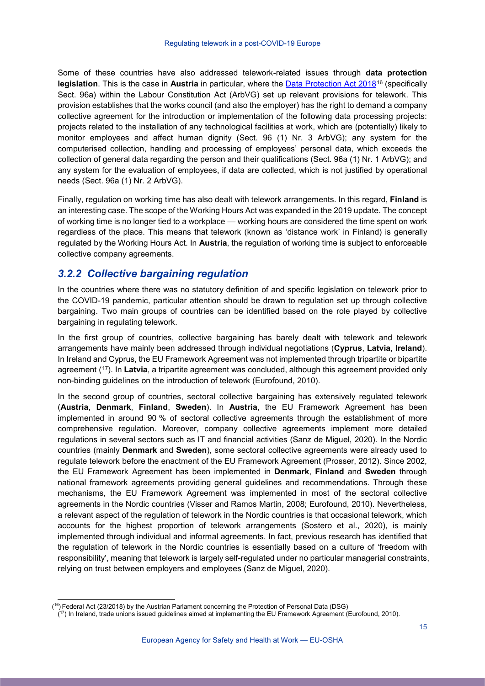Some of these countries have also addressed telework-related issues through **data protection**  legislation. This is the case in Austria in particular, where the **Data Protection Act 2018<sup>[16](#page-14-1)</sup>** (specifically Sect. 96a) within the Labour Constitution Act (ArbVG) set up relevant provisions for telework. This provision establishes that the works council (and also the employer) has the right to demand a company collective agreement for the introduction or implementation of the following data processing projects: projects related to the installation of any technological facilities at work, which are (potentially) likely to monitor employees and affect human dignity (Sect. 96 (1) Nr. 3 ArbVG); any system for the computerised collection, handling and processing of employees' personal data, which exceeds the collection of general data regarding the person and their qualifications (Sect. 96a (1) Nr. 1 ArbVG); and any system for the evaluation of employees, if data are collected, which is not justified by operational needs (Sect. 96a (1) Nr. 2 ArbVG).

Finally, regulation on working time has also dealt with telework arrangements. In this regard, **Finland** is an interesting case. The scope of the Working Hours Act was expanded in the 2019 update. The concept of working time is no longer tied to a workplace — working hours are considered the time spent on work regardless of the place. This means that telework (known as 'distance work' in Finland) is generally regulated by the Working Hours Act. In **Austria**, the regulation of working time is subject to enforceable collective company agreements.

# <span id="page-14-0"></span>*3.2.2 Collective bargaining regulation*

In the countries where there was no statutory definition of and specific legislation on telework prior to the COVID-19 pandemic, particular attention should be drawn to regulation set up through collective bargaining. Two main groups of countries can be identified based on the role played by collective bargaining in regulating telework.

In the first group of countries, collective bargaining has barely dealt with telework and telework arrangements have mainly been addressed through individual negotiations (**Cyprus**, **Latvia**, **Ireland**). In Ireland and Cyprus, the EU Framework Agreement was not implemented through tripartite or bipartite agreement ([17\)](#page-14-2). In **Latvia**, a tripartite agreement was concluded, although this agreement provided only non-binding guidelines on the introduction of telework (Eurofound, 2010).

In the second group of countries, sectoral collective bargaining has extensively regulated telework (**Austria**, **Denmark**, **Finland**, **Sweden**). In **Austria**, the EU Framework Agreement has been implemented in around 90 % of sectoral collective agreements through the establishment of more comprehensive regulation. Moreover, company collective agreements implement more detailed regulations in several sectors such as IT and financial activities (Sanz de Miguel, 2020). In the Nordic countries (mainly **Denmark** and **Sweden**), some sectoral collective agreements were already used to regulate telework before the enactment of the EU Framework Agreement (Prosser, 2012). Since 2002, the EU Framework Agreement has been implemented in **Denmark**, **Finland** and **Sweden** through national framework agreements providing general guidelines and recommendations. Through these mechanisms, the EU Framework Agreement was implemented in most of the sectoral collective agreements in the Nordic countries (Visser and Ramos Martin, 2008; Eurofound, 2010). Nevertheless, a relevant aspect of the regulation of telework in the Nordic countries is that occasional telework, which accounts for the highest proportion of telework arrangements (Sostero et al., 2020), is mainly implemented through individual and informal agreements. In fact, previous research has identified that the regulation of telework in the Nordic countries is essentially based on a culture of 'freedom with responsibility', meaning that telework is largely self-regulated under no particular managerial constraints, relying on trust between employers and employees (Sanz de Miguel, 2020).

<span id="page-14-1"></span> <sup>(</sup> 16) Federal Act (23/2018) by the Austrian Parlament concerning the Protection of Personal Data (DSG)

<span id="page-14-2"></span><sup>&</sup>lt;sup>17</sup>) In Ireland, trade unions issued guidelines aimed at implementing the EU Framework Agreement (Eurofound, 2010).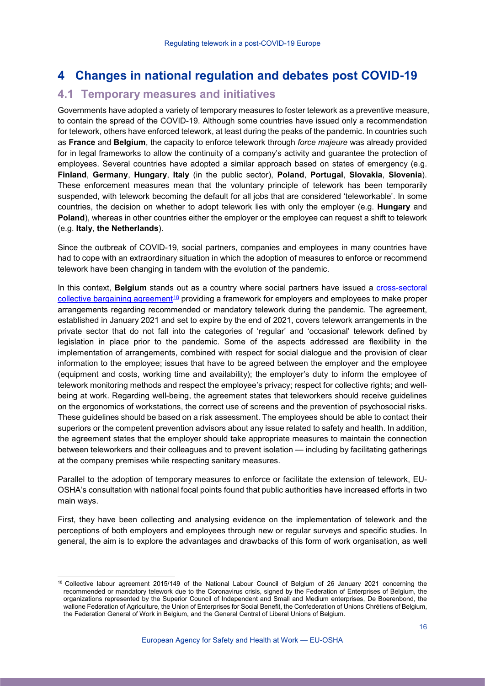# <span id="page-15-0"></span>**4 Changes in national regulation and debates post COVID-19**

### <span id="page-15-1"></span>**4.1 Temporary measures and initiatives**

Governments have adopted a variety of temporary measures to foster telework as a preventive measure, to contain the spread of the COVID-19. Although some countries have issued only a recommendation for telework, others have enforced telework, at least during the peaks of the pandemic. In countries such as **France** and **Belgium**, the capacity to enforce telework through *force majeure* was already provided for in legal frameworks to allow the continuity of a company's activity and guarantee the protection of employees. Several countries have adopted a similar approach based on states of emergency (e.g. **Finland**, **Germany**, **Hungary**, **Italy** (in the public sector), **Poland**, **Portugal**, **Slovakia**, **Slovenia**). These enforcement measures mean that the voluntary principle of telework has been temporarily suspended, with telework becoming the default for all jobs that are considered 'teleworkable'. In some countries, the decision on whether to adopt telework lies with only the employer (e.g. **Hungary** and Poland), whereas in other countries either the employer or the employee can request a shift to telework (e.g. **Italy**, **the Netherlands**).

Since the outbreak of COVID-19, social partners, companies and employees in many countries have had to cope with an extraordinary situation in which the adoption of measures to enforce or recommend telework have been changing in tandem with the evolution of the pandemic.

In this context, **Belgium** stands out as a country where social partners have issued a [cross-sectoral](http://www.cnt-nar.be/CCT-ORIG/cct-149-(26.01.2021).pdf)  [collective bargaining agreement](http://www.cnt-nar.be/CCT-ORIG/cct-149-(26.01.2021).pdf)<sup>[18](#page-15-2)</sup> providing a framework for employers and employees to make proper arrangements regarding recommended or mandatory telework during the pandemic. The agreement, established in January 2021 and set to expire by the end of 2021, covers telework arrangements in the private sector that do not fall into the categories of 'regular' and 'occasional' telework defined by legislation in place prior to the pandemic. Some of the aspects addressed are flexibility in the implementation of arrangements, combined with respect for social dialogue and the provision of clear information to the employee; issues that have to be agreed between the employer and the employee (equipment and costs, working time and availability); the employer's duty to inform the employee of telework monitoring methods and respect the employee's privacy; respect for collective rights; and wellbeing at work. Regarding well-being, the agreement states that teleworkers should receive guidelines on the ergonomics of workstations, the correct use of screens and the prevention of psychosocial risks. These guidelines should be based on a risk assessment. The employees should be able to contact their superiors or the competent prevention advisors about any issue related to safety and health. In addition, the agreement states that the employer should take appropriate measures to maintain the connection between teleworkers and their colleagues and to prevent isolation — including by facilitating gatherings at the company premises while respecting sanitary measures.

Parallel to the adoption of temporary measures to enforce or facilitate the extension of telework, EU-OSHA's consultation with national focal points found that public authorities have increased efforts in two main ways.

First, they have been collecting and analysing evidence on the implementation of telework and the perceptions of both employers and employees through new or regular surveys and specific studies. In general, the aim is to explore the advantages and drawbacks of this form of work organisation, as well

<span id="page-15-2"></span><sup>18</sup> Collective labour agreement 2015/149 of the National Labour Council of Belgium of 26 January 2021 concerning the recommended or mandatory telework due to the Coronavirus crisis, signed by the Federation of Enterprises of Belgium, the organizations represented by the Superior Council of Independent and Small and Medium enterprises, De Boerenbond, the wallone Federation of Agriculture, the Union of Enterprises for Social Benefit, the Confederation of Unions Chrétiens of Belgium, the Federation General of Work in Belgium, and the General Central of Liberal Unions of Belgium.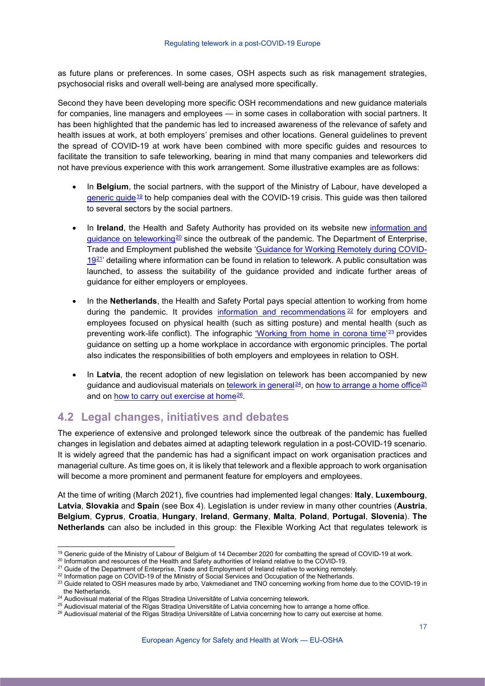as future plans or preferences. In some cases, OSH aspects such as risk management strategies, psychosocial risks and overall well-being are analysed more specifically.

Second they have been developing more specific OSH recommendations and new guidance materials for companies, line managers and employees — in some cases in collaboration with social partners. It has been highlighted that the pandemic has led to increased awareness of the relevance of safety and health issues at work, at both employers' premises and other locations. General guidelines to prevent the spread of COVID-19 at work have been combined with more specific guides and resources to facilitate the transition to safe teleworking, bearing in mind that many companies and teleworkers did not have previous experience with this work arrangement. Some illustrative examples are as follows:

- In **Belgium**, the social partners, with the support of the Ministry of Labour, have developed a [generic guide](https://emploi.belgique.be/fr/themes/coronavirus/au-travail-en-toute-securite-pendant-la-crise-du-coronavirus-guide-generique)[19](#page-16-1) to help companies deal with the COVID-19 crisis. This guide was then tailored to several sectors by the social partners.
- In **Ireland**, the Health and Safety Authority has provided on its website new [information and](https://www.hsa.ie/eng/topics/covid-19_coronavirus_information_and_resources/)  [guidance on teleworking](https://www.hsa.ie/eng/topics/covid-19_coronavirus_information_and_resources/)<sup>[20](#page-16-2)</sup> since the outbreak of the pandemic. The Department of Enterprise, Trade and Employment published the website ['Guidance for Working Remotely during COVID-](https://enterprise.gov.ie/en/What-We-Do/Workplace-and-Skills/Remote-Working/) $19<sup>21</sup>$  $19<sup>21</sup>$  detailing where information can be found in relation to telework. A public consultation was launched, to assess the suitability of the guidance provided and indicate further areas of guidance for either employers or employees.
- In the **Netherlands**, the Health and Safety Portal pays special attention to working from home during the pandemic. It provides [information and recommendations](https://www.arboportaal.nl/onderwerpen/persoonlijke-beschermingsmiddelen/vraag-en-antwoord/coronavirus)  $22$  for employers and employees focused on physical health (such as sitting posture) and mental health (such as preventing work-life conflict). The infographic <u>'Working from home in corona time</u>'<sup>[23](#page-16-5)</sup> provides guidance on setting up a home workplace in accordance with ergonomic principles. The portal also indicates the responsibilities of both employers and employees in relation to OSH.
- In **Latvia**, the recent adoption of new legislation on telework has been accompanied by new guidance and audiovisual materials on [telework in general](https://panopto.rsu.lv/Panopto/Pages/Viewer.aspx?id=93e28c6c-c65e-4c8f-9da2-acb100b100b2)<sup>24</sup>, on [how to arrange a home office](https://www.youtube.com/watch?v=WRztm34rHnk&&feature=youtu.be)<sup>[25](#page-16-7)</sup> and on [how to carry out exercise at home](https://www.youtube.com/watch?v=Y9fgE6KpEJ4)<sup>[26](#page-16-8)</sup>.

# <span id="page-16-0"></span>**4.2 Legal changes, initiatives and debates**

The experience of extensive and prolonged telework since the outbreak of the pandemic has fuelled changes in legislation and debates aimed at adapting telework regulation in a post-COVID-19 scenario. It is widely agreed that the pandemic has had a significant impact on work organisation practices and managerial culture. As time goes on, it is likely that telework and a flexible approach to work organisation will become a more prominent and permanent feature for employers and employees.

At the time of writing (March 2021), five countries had implemented legal changes: **Italy**, **Luxembourg**, **Latvia**, **Slovakia** and **Spain** (see Box 4). Legislation is under review in many other countries (**Austria**, **Belgium**, **Cyprus**, **Croatia**, **Hungary**, **Ireland**, **Germany**, **Malta**, **Poland**, **Portugal**, **Slovenia**). **The Netherlands** can also be included in this group: the Flexible Working Act that regulates telework is

<sup>&</sup>lt;sup>19</sup> Generic guide of the Ministry of Labour of Belgium of 14 December 2020 for combatting the spread of COVID-19 at work.

<span id="page-16-3"></span><span id="page-16-2"></span><span id="page-16-1"></span> $^{20}$  Information and resources of the Health and Safety authorities of Ireland relative to the COVID-19.<br><sup>21</sup> Guide of the Department of Enterprise, Trade and Employment of Ireland relative to working remotely.

<sup>&</sup>lt;sup>22</sup> Information page on COVID-19 of the Ministry of Social Services and Occupation of the Netherlands.

<span id="page-16-5"></span><span id="page-16-4"></span><sup>&</sup>lt;sup>23</sup> Guide related to OSH measures made by arbo, Vakmedianet and TNO concerning working from home due to the COVID-19 in the Netherlands.

<span id="page-16-6"></span><sup>&</sup>lt;sup>24</sup> Audiovisual material of the Rīgas Stradiņa Universitāte of Latvia concerning telework.

<sup>&</sup>lt;sup>25</sup> Audiovisual material of the Rīgas Stradina Universitāte of Latvia concerning how to arrange a home office.

<span id="page-16-8"></span><span id="page-16-7"></span><sup>&</sup>lt;sup>26</sup> Audiovisual material of the Rīgas Stradiņa Universitāte of Latvia concerning how to carry out exercise at home.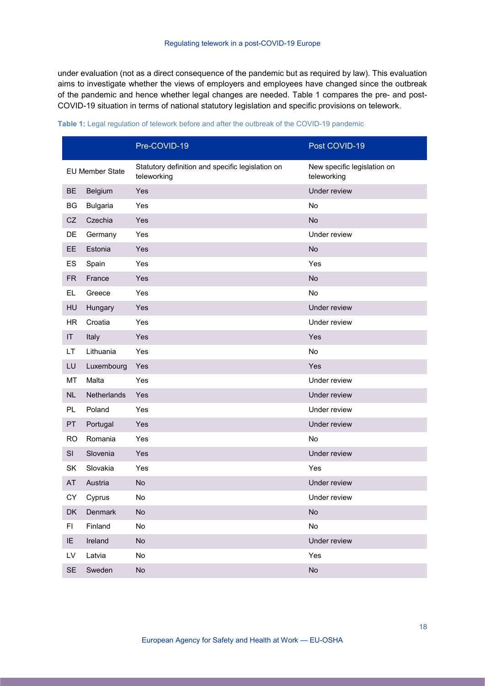under evaluation (not as a direct consequence of the pandemic but as required by law). This evaluation aims to investigate whether the views of employers and employees have changed since the outbreak of the pandemic and hence whether legal changes are needed. Table 1 compares the pre- and post-COVID-19 situation in terms of national statutory legislation and specific provisions on telework.

|           |                        | Pre-COVID-19                                                    | Post COVID-19                              |
|-----------|------------------------|-----------------------------------------------------------------|--------------------------------------------|
|           | <b>EU Member State</b> | Statutory definition and specific legislation on<br>teleworking | New specific legislation on<br>teleworking |
| <b>BE</b> | Belgium                | Yes                                                             | Under review                               |
| BG        | <b>Bulgaria</b>        | Yes                                                             | No                                         |
| <b>CZ</b> | Czechia                | Yes                                                             | No                                         |
| DE        | Germany                | Yes                                                             | Under review                               |
| EE        | Estonia                | Yes                                                             | No                                         |
| ES        | Spain                  | Yes                                                             | Yes                                        |
| <b>FR</b> | France                 | Yes                                                             | No                                         |
| EL.       | Greece                 | Yes                                                             | No                                         |
| HU        | Hungary                | Yes                                                             | Under review                               |
| <b>HR</b> | Croatia                | Yes                                                             | Under review                               |
| IT        | Italy                  | Yes                                                             | Yes                                        |
| LT        | Lithuania              | Yes                                                             | No                                         |
| LU        | Luxembourg             | Yes                                                             | Yes                                        |
| MT        | Malta                  | Yes                                                             | Under review                               |
| <b>NL</b> | Netherlands            | Yes                                                             | Under review                               |
| PL.       | Poland                 | Yes                                                             | Under review                               |
| PT        | Portugal               | Yes                                                             | Under review                               |
| <b>RO</b> | Romania                | Yes                                                             | No                                         |
| SI        | Slovenia               | Yes                                                             | Under review                               |
| SK        | Slovakia               | Yes                                                             | Yes                                        |
| AT        | Austria                | No                                                              | Under review                               |
| CY        | Cyprus                 | <b>No</b>                                                       | Under review                               |
| DK        | Denmark                | No                                                              | $\mathsf{No}$                              |
| FI        | Finland                | No                                                              | $\mathsf{No}$                              |
| IE.       | Ireland                | No                                                              | Under review                               |
| LV        | Latvia                 | No                                                              | Yes                                        |
| SE        | Sweden                 | No                                                              | No                                         |

#### **Table 1:** Legal regulation of telework before and after the outbreak of the COVID-19 pandemic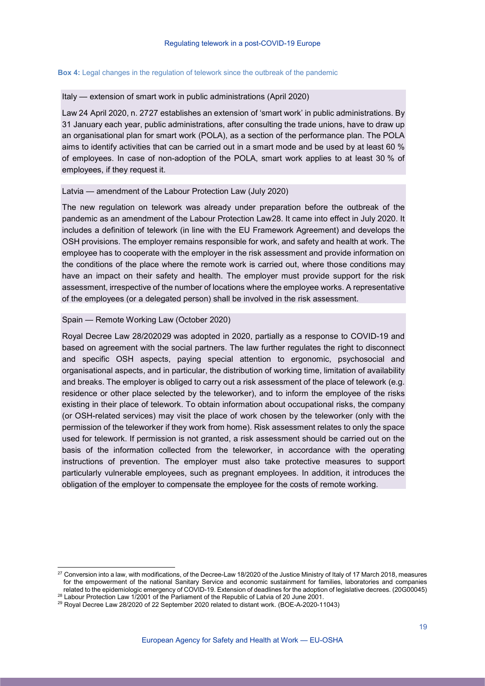#### **Box 4:** Legal changes in the regulation of telework since the outbreak of the pandemic

#### Italy — extension of smart work in public administrations (April 2020)

Law 24 [April 2020, n. 27](https://www.gazzettaufficiale.it/eli/id/2020/04/29/20G00045/sg)[27](#page-18-0) establishes an extension of 'smart work' in public administrations. By 31 January each year, public administrations, after consulting the trade unions, have to draw up an organisational plan for smart work (POLA), as a section of the performance plan. The POLA aims to identify activities that can be carried out in a smart mode and be used by at least 60 % of employees. In case of non-adoption of the POLA, smart work applies to at least 30 % of employees, if they request it.

#### Latvia — amendment of the Labour Protection Law (July 2020)

The new regulation on telework was already under preparation before the outbreak of the pandemic as an amendment of the [Labour Protection Law](https://likumi.lv/ta/en/en/id/26020-labour-protection-law)[28](#page-18-1). It came into effect in July 2020. It includes a definition of telework (in line with the EU Framework Agreement) and develops the OSH provisions. The employer remains responsible for work, and safety and health at work. The employee has to cooperate with the employer in the risk assessment and provide information on the conditions of the place where the remote work is carried out, where those conditions may have an impact on their safety and health. The employer must provide support for the risk assessment, irrespective of the number of locations where the employee works. A representative of the employees (or a delegated person) shall be involved in the risk assessment.

#### Spain — Remote Working Law (October 2020)

[Royal Decree Law 28/2020](https://www.boe.es/buscar/act.php?id=BOE-A-2020-11043)[29](#page-18-2) was adopted in 2020, partially as a response to COVID-19 and based on agreement with the social partners. The law further regulates the right to disconnect and specific OSH aspects, paying special attention to ergonomic, psychosocial and organisational aspects, and in particular, the distribution of working time, limitation of availability and breaks. The employer is obliged to carry out a risk assessment of the place of telework (e.g. residence or other place selected by the teleworker), and to inform the employee of the risks existing in their place of telework. To obtain information about occupational risks, the company (or OSH-related services) may visit the place of work chosen by the teleworker (only with the permission of the teleworker if they work from home). Risk assessment relates to only the space used for telework. If permission is not granted, a risk assessment should be carried out on the basis of the information collected from the teleworker, in accordance with the operating instructions of prevention. The employer must also take protective measures to support particularly vulnerable employees, such as pregnant employees. In addition, it introduces the obligation of the employer to compensate the employee for the costs of remote working.

<span id="page-18-0"></span><sup>&</sup>lt;sup>27</sup> Conversion into a law, with modifications, of the Decree-Law 18/2020 of the Justice Ministry of Italy of 17 March 2018, measures for the empowerment of the national Sanitary Service and economic sustainment for families, laboratories and companies related to the epidemiologic emergency of COVID-19. Extension of deadlines for the adoption of legislative decrees. (20G00045)<br><sup>28</sup> Labour Protection Law 1/2001 of the Parliament of the Republic of Latvia of 20 June 2001.

<span id="page-18-2"></span><span id="page-18-1"></span> $29$  Royal Decree Law 28/2020 of 22 September 2020 related to distant work. (BOE-A-2020-11043)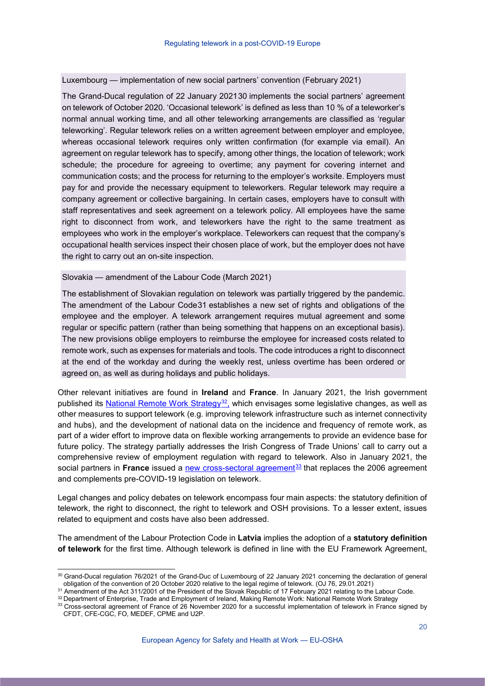#### Luxembourg — implementation of new social partners' convention (February 2021)

The [Grand-Ducal regulation of 22 January 2021](http://data.legilux.public.lu/file/eli-etat-leg-rgd-2021-01-22-a76-jo-fr-pdf.pdf)[30](#page-19-0) implements the social partners' agreement on telework of October 2020. 'Occasional telework' is defined as less than 10 % of a teleworker's normal annual working time, and all other teleworking arrangements are classified as 'regular teleworking'. Regular telework relies on a written agreement between employer and employee, whereas occasional telework requires only written confirmation (for example via email). An agreement on regular telework has to specify, among other things, the location of telework; work schedule; the procedure for agreeing to overtime; any payment for covering internet and communication costs; and the process for returning to the employer's worksite. Employers must pay for and provide the necessary equipment to teleworkers. Regular telework may require a company agreement or collective bargaining. In certain cases, employers have to consult with staff representatives and seek agreement on a telework policy. All employees have the same right to disconnect from work, and teleworkers have the right to the same treatment as employees who work in the employer's workplace. Teleworkers can request that the company's occupational health services inspect their chosen place of work, but the employer does not have the right to carry out an on-site inspection.

#### Slovakia — amendment of the Labour Code (March 2021)

The establishment of Slovakian regulation on telework was partially triggered by the pandemic. The amendment of the [Labour Code](https://www.cms-lawnow.com/ealerts/2021/03/the-2021-amendment-to-the-slovak-labour-code)[31](#page-19-1) establishes a new set of rights and obligations of the employee and the employer. A telework arrangement requires mutual agreement and some regular or specific pattern (rather than being something that happens on an exceptional basis). The new provisions oblige employers to reimburse the employee for increased costs related to remote work, such as expenses for materials and tools. The code introduces a right to disconnect at the end of the workday and during the weekly rest, unless overtime has been ordered or agreed on, as well as during holidays and public holidays.

Other relevant initiatives are found in **Ireland** and **France**. In January 2021, the Irish government published its [National Remote Work Strategy](https://enterprise.gov.ie/en/Publications/Making-Remote-Work.html)<sup>[32](#page-19-2)</sup>, which envisages some legislative changes, as well as other measures to support telework (e.g. improving telework infrastructure such as internet connectivity and hubs), and the development of national data on the incidence and frequency of remote work, as part of a wider effort to improve data on flexible working arrangements to provide an evidence base for future policy. The strategy partially addresses the Irish Congress of Trade Unions' call to carry out a comprehensive review of employment regulation with regard to telework. Also in January 2021, the social partners in **France** issued a [new cross-sectoral agreement](https://www.fntp.fr/sites/default/files/content/26112020_ani_teletravail.pdf)<sup>[33](#page-19-3)</sup> that replaces the 2006 agreement and complements pre-COVID-19 legislation on telework.

Legal changes and policy debates on telework encompass four main aspects: the statutory definition of telework, the right to disconnect, the right to telework and OSH provisions. To a lesser extent, issues related to equipment and costs have also been addressed.

The amendment of the Labour Protection Code in **Latvia** implies the adoption of a **statutory definition of telework** for the first time. Although telework is defined in line with the EU Framework Agreement,

<span id="page-19-0"></span><sup>30</sup> Grand-Ducal regulation 76/2021 of the Grand-Duc of Luxembourg of 22 January 2021 concerning the declaration of general obligation of the convention of 20 October 2020 relative to the legal regime of telework. (OJ 76, 29.01.2021)

<span id="page-19-1"></span><sup>31</sup> Amendment of the Act 311/2001 of the President of the Slovak Republic of 17 February 2021 relating to the Labour Code.

<span id="page-19-3"></span><span id="page-19-2"></span><sup>32</sup> Department of Enterprise, Trade and Employment of Ireland, Making Remote Work: National Remote Work Strategy <sup>33</sup> Cross-sectoral agreement of France of 26 November 2020 for a successful implementation of telework in France signed by CFDT, CFE-CGC, FO, MEDEF, CPME and U2P.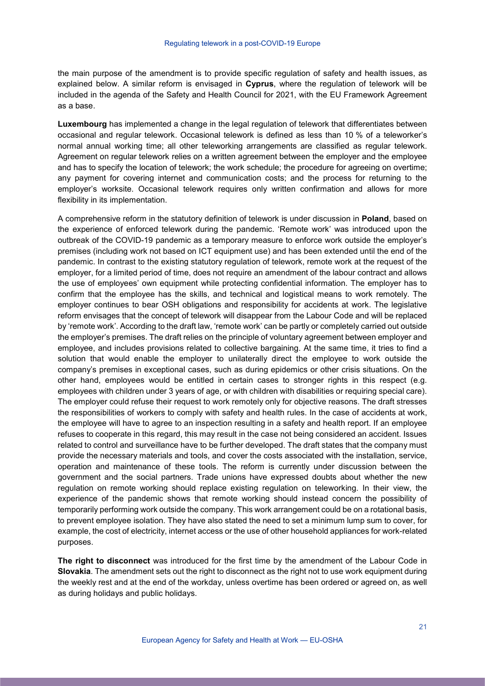the main purpose of the amendment is to provide specific regulation of safety and health issues, as explained below. A similar reform is envisaged in **Cyprus**, where the regulation of telework will be included in the agenda of the Safety and Health Council for 2021, with the EU Framework Agreement as a base.

**Luxembourg** has implemented a change in the legal regulation of telework that differentiates between occasional and regular telework. Occasional telework is defined as less than 10 % of a teleworker's normal annual working time; all other teleworking arrangements are classified as regular telework. Agreement on regular telework relies on a written agreement between the employer and the employee and has to specify the location of telework; the work schedule; the procedure for agreeing on overtime; any payment for covering internet and communication costs; and the process for returning to the employer's worksite. Occasional telework requires only written confirmation and allows for more flexibility in its implementation.

A comprehensive reform in the statutory definition of telework is under discussion in **Poland**, based on the experience of enforced telework during the pandemic. 'Remote work' was introduced upon the outbreak of the COVID-19 pandemic as a temporary measure to enforce work outside the employer's premises (including work not based on ICT equipment use) and has been extended until the end of the pandemic. In contrast to the existing statutory regulation of telework, remote work at the request of the employer, for a limited period of time, does not require an amendment of the labour contract and allows the use of employees' own equipment while protecting confidential information. The employer has to confirm that the employee has the skills, and technical and logistical means to work remotely. The employer continues to bear OSH obligations and responsibility for accidents at work. The legislative reform envisages that the concept of telework will disappear from the Labour Code and will be replaced by 'remote work'. According to the draft law, 'remote work' can be partly or completely carried out outside the employer's premises. The draft relies on the principle of voluntary agreement between employer and employee, and includes provisions related to collective bargaining. At the same time, it tries to find a solution that would enable the employer to unilaterally direct the employee to work outside the company's premises in exceptional cases, such as during epidemics or other crisis situations. On the other hand, employees would be entitled in certain cases to stronger rights in this respect (e.g. employees with children under 3 years of age, or with children with disabilities or requiring special care). The employer could refuse their request to work remotely only for objective reasons. The draft stresses the responsibilities of workers to comply with safety and health rules. In the case of accidents at work, the employee will have to agree to an inspection resulting in a safety and health report. If an employee refuses to cooperate in this regard, this may result in the case not being considered an accident. Issues related to control and surveillance have to be further developed. The draft states that the company must provide the necessary materials and tools, and cover the costs associated with the installation, service, operation and maintenance of these tools. The reform is currently under discussion between the government and the social partners. Trade unions have expressed doubts about whether the new regulation on remote working should replace existing regulation on teleworking. In their view, the experience of the pandemic shows that remote working should instead concern the possibility of temporarily performing work outside the company. This work arrangement could be on a rotational basis, to prevent employee isolation. They have also stated the need to set a minimum lump sum to cover, for example, the cost of electricity, internet access or the use of other household appliances for work-related purposes.

**The right to disconnect** was introduced for the first time by the amendment of the Labour Code in **Slovakia**. The amendment sets out the right to disconnect as the right not to use work equipment during the weekly rest and at the end of the workday, unless overtime has been ordered or agreed on, as well as during holidays and public holidays.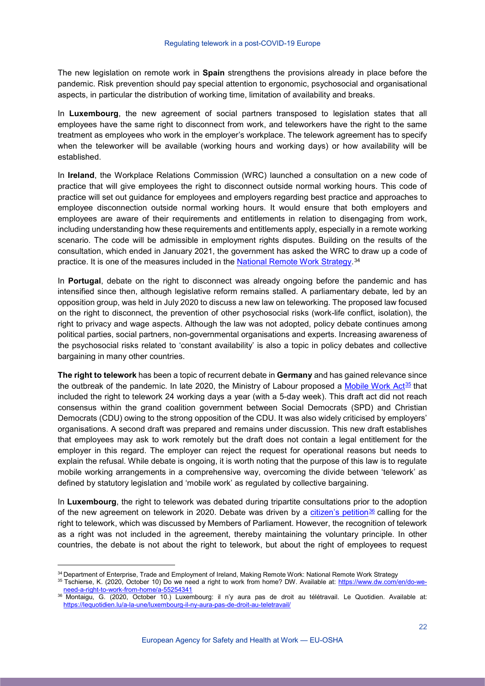The new legislation on remote work in **Spain** strengthens the provisions already in place before the pandemic. Risk prevention should pay special attention to ergonomic, psychosocial and organisational aspects, in particular the distribution of working time, limitation of availability and breaks.

In **Luxembourg**, the new agreement of social partners transposed to legislation states that all employees have the same right to disconnect from work, and teleworkers have the right to the same treatment as employees who work in the employer's workplace. The telework agreement has to specify when the teleworker will be available (working hours and working days) or how availability will be established.

In **Ireland**, the Workplace Relations Commission (WRC) launched a consultation on a new code of practice that will give employees the right to disconnect outside normal working hours. This code of practice will set out guidance for employees and employers regarding best practice and approaches to employee disconnection outside normal working hours. It would ensure that both employers and employees are aware of their requirements and entitlements in relation to disengaging from work, including understanding how these requirements and entitlements apply, especially in a remote working scenario. The code will be admissible in employment rights disputes. Building on the results of the consultation, which ended in January 2021, the government has asked the WRC to draw up a code of practice. It is one of the measures included in the [National Remote Work Strategy.](https://enterprise.gov.ie/en/Publications/Making-Remote-Work.html)<sup>[34](#page-21-0)</sup>

In **Portugal**, debate on the right to disconnect was already ongoing before the pandemic and has intensified since then, although legislative reform remains stalled. A parliamentary debate, led by an opposition group, was held in July 2020 to discuss a new law on teleworking. The proposed law focused on the right to disconnect, the prevention of other psychosocial risks (work-life conflict, isolation), the right to privacy and wage aspects. Although the law was not adopted, policy debate continues among political parties, social partners, non-governmental organisations and experts. Increasing awareness of the psychosocial risks related to 'constant availability' is also a topic in policy debates and collective bargaining in many other countries.

**The right to telework** has been a topic of recurrent debate in **Germany** and has gained relevance since the outbreak of the pandemic. In late 2020, the Ministry of Labour proposed a [Mobile Work Act](https://www.dw.com/en/do-we-need-a-right-to-work-from-home/a-55254341)<sup>[35](#page-21-1)</sup> that included the right to telework 24 working days a year (with a 5-day week). This draft act did not reach consensus within the grand coalition government between Social Democrats (SPD) and Christian Democrats (CDU) owing to the strong opposition of the CDU. It was also widely criticised by employers' organisations. A second draft was prepared and remains under discussion. This new draft establishes that employees may ask to work remotely but the draft does not contain a legal entitlement for the employer in this regard. The employer can reject the request for operational reasons but needs to explain the refusal. While debate is ongoing, it is worth noting that the purpose of this law is to regulate mobile working arrangements in a comprehensive way, overcoming the divide between 'telework' as defined by statutory legislation and 'mobile work' as regulated by collective bargaining.

In **Luxembourg**, the right to telework was debated during tripartite consultations prior to the adoption of the new agreement on telework in 2020. Debate was driven by a [citizen's petition](https://lequotidien.lu/a-la-une/luxembourg-il-ny-aura-pas-de-droit-au-teletravail/)<sup>[36](#page-21-2)</sup> calling for the right to telework, which was discussed by Members of Parliament. However, the recognition of telework as a right was not included in the agreement, thereby maintaining the voluntary principle. In other countries, the debate is not about the right to telework, but about the right of employees to request

<span id="page-21-0"></span><sup>34</sup> Department of Enterprise, Trade and Employment of Ireland, Making Remote Work: National Remote Work Strategy

<span id="page-21-1"></span><sup>&</sup>lt;sup>35</sup> Tschierse, K. (2020, October 10) Do we need a right to work from home? DW. Available at: [https://www.dw.com/en/do-we-](https://www.dw.com/en/do-we-need-a-right-to-work-from-home/a-55254341)

<span id="page-21-2"></span>[need-a-right-to-work-from-home/a-55254341](https://www.dw.com/en/do-we-need-a-right-to-work-from-home/a-55254341) 36 Montaigu, G. (2020, October 10.) Luxembourg: il n'y aura pas de droit au télétravail. Le Quotidien. Available at: <https://lequotidien.lu/a-la-une/luxembourg-il-ny-aura-pas-de-droit-au-teletravail/>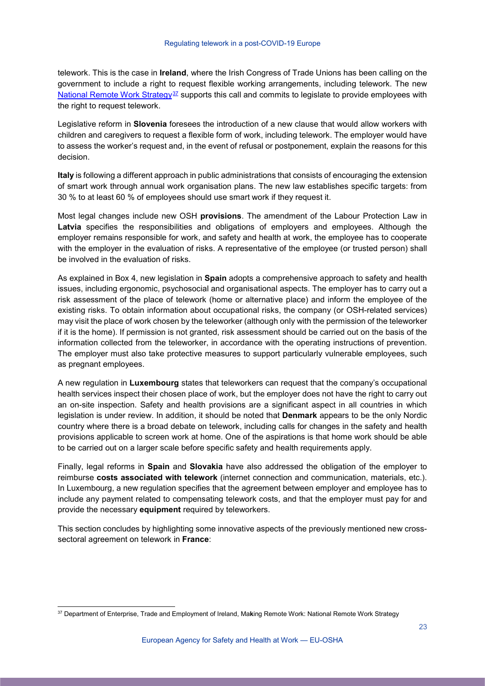telework. This is the case in **Ireland**, where the Irish Congress of Trade Unions has been calling on the government to include a right to request flexible working arrangements, including telework. The new [National Remote Work Strategy](https://enterprise.gov.ie/en/Publications/Making-Remote-Work.html)<sup>[37](#page-22-0)</sup> supports this call and commits to legislate to provide employees with the right to request telework.

Legislative reform in **Slovenia** foresees the introduction of a new clause that would allow workers with children and caregivers to request a flexible form of work, including telework. The employer would have to assess the worker's request and, in the event of refusal or postponement, explain the reasons for this decision.

**Italy** is following a different approach in public administrations that consists of encouraging the extension of smart work through annual work organisation plans. The new law establishes specific targets: from 30 % to at least 60 % of employees should use smart work if they request it.

Most legal changes include new OSH **provisions**. The amendment of the Labour Protection Law in **Latvia** specifies the responsibilities and obligations of employers and employees. Although the employer remains responsible for work, and safety and health at work, the employee has to cooperate with the employer in the evaluation of risks. A representative of the employee (or trusted person) shall be involved in the evaluation of risks.

As explained in Box 4, new legislation in **Spain** adopts a comprehensive approach to safety and health issues, including ergonomic, psychosocial and organisational aspects. The employer has to carry out a risk assessment of the place of telework (home or alternative place) and inform the employee of the existing risks. To obtain information about occupational risks, the company (or OSH-related services) may visit the place of work chosen by the teleworker (although only with the permission of the teleworker if it is the home). If permission is not granted, risk assessment should be carried out on the basis of the information collected from the teleworker, in accordance with the operating instructions of prevention. The employer must also take protective measures to support particularly vulnerable employees, such as pregnant employees.

A new regulation in **Luxembourg** states that teleworkers can request that the company's occupational health services inspect their chosen place of work, but the employer does not have the right to carry out an on-site inspection. Safety and health provisions are a significant aspect in all countries in which legislation is under review. In addition, it should be noted that **Denmark** appears to be the only Nordic country where there is a broad debate on telework, including calls for changes in the safety and health provisions applicable to screen work at home. One of the aspirations is that home work should be able to be carried out on a larger scale before specific safety and health requirements apply.

Finally, legal reforms in **Spain** and **Slovakia** have also addressed the obligation of the employer to reimburse **costs associated with telework** (internet connection and communication, materials, etc.). In Luxembourg, a new regulation specifies that the agreement between employer and employee has to include any payment related to compensating telework costs, and that the employer must pay for and provide the necessary **equipment** required by teleworkers.

This section concludes by highlighting some innovative aspects of the previously mentioned new crosssectoral agreement on telework in **France**:

<span id="page-22-0"></span> <sup>37</sup> Department of Enterprise, Trade and Employment of Ireland, Ma**k**ing Remote Work: National Remote Work Strategy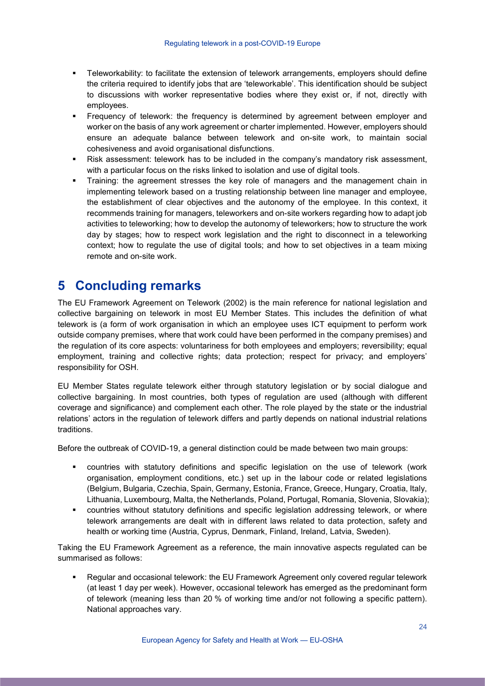- Teleworkability: to facilitate the extension of telework arrangements, employers should define the criteria required to identify jobs that are 'teleworkable'. This identification should be subject to discussions with worker representative bodies where they exist or, if not, directly with employees.
- Frequency of telework: the frequency is determined by agreement between employer and worker on the basis of any work agreement or charter implemented. However, employers should ensure an adequate balance between telework and on-site work, to maintain social cohesiveness and avoid organisational disfunctions.
- Risk assessment: telework has to be included in the company's mandatory risk assessment, with a particular focus on the risks linked to isolation and use of digital tools.
- Training: the agreement stresses the key role of managers and the management chain in implementing telework based on a trusting relationship between line manager and employee, the establishment of clear objectives and the autonomy of the employee. In this context, it recommends training for managers, teleworkers and on-site workers regarding how to adapt job activities to teleworking; how to develop the autonomy of teleworkers; how to structure the work day by stages; how to respect work legislation and the right to disconnect in a teleworking context; how to regulate the use of digital tools; and how to set objectives in a team mixing remote and on-site work.

# <span id="page-23-0"></span>**5 Concluding remarks**

The EU Framework Agreement on Telework (2002) is the main reference for national legislation and collective bargaining on telework in most EU Member States. This includes the definition of what telework is (a form of work organisation in which an employee uses ICT equipment to perform work outside company premises, where that work could have been performed in the company premises) and the regulation of its core aspects: voluntariness for both employees and employers; reversibility; equal employment, training and collective rights; data protection; respect for privacy; and employers' responsibility for OSH.

EU Member States regulate telework either through statutory legislation or by social dialogue and collective bargaining. In most countries, both types of regulation are used (although with different coverage and significance) and complement each other. The role played by the state or the industrial relations' actors in the regulation of telework differs and partly depends on national industrial relations traditions.

Before the outbreak of COVID-19, a general distinction could be made between two main groups:

- countries with statutory definitions and specific legislation on the use of telework (work organisation, employment conditions, etc.) set up in the labour code or related legislations (Belgium, Bulgaria, Czechia, Spain, Germany, Estonia, France, Greece, Hungary, Croatia, Italy, Lithuania, Luxembourg, Malta, the Netherlands, Poland, Portugal, Romania, Slovenia, Slovakia);
- countries without statutory definitions and specific legislation addressing telework, or where telework arrangements are dealt with in different laws related to data protection, safety and health or working time (Austria, Cyprus, Denmark, Finland, Ireland, Latvia, Sweden).

Taking the EU Framework Agreement as a reference, the main innovative aspects regulated can be summarised as follows:

 Regular and occasional telework: the EU Framework Agreement only covered regular telework (at least 1 day per week). However, occasional telework has emerged as the predominant form of telework (meaning less than 20 % of working time and/or not following a specific pattern). National approaches vary.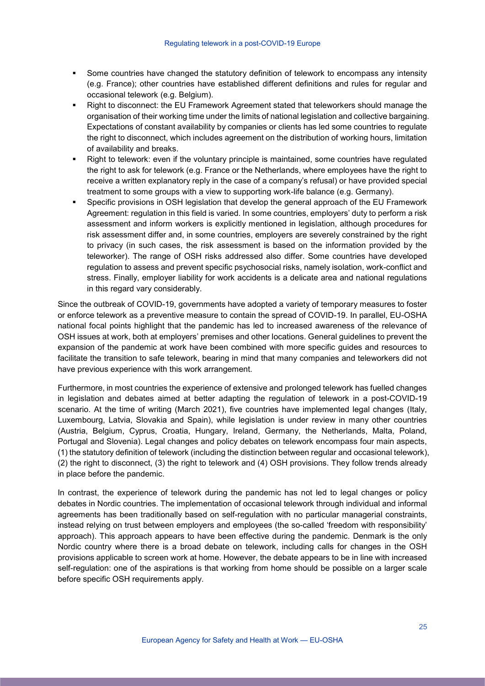- Some countries have changed the statutory definition of telework to encompass any intensity (e.g. France); other countries have established different definitions and rules for regular and occasional telework (e.g. Belgium).
- Right to disconnect: the EU Framework Agreement stated that teleworkers should manage the organisation of their working time under the limits of national legislation and collective bargaining. Expectations of constant availability by companies or clients has led some countries to regulate the right to disconnect, which includes agreement on the distribution of working hours, limitation of availability and breaks.
- Right to telework: even if the voluntary principle is maintained, some countries have regulated the right to ask for telework (e.g. France or the Netherlands, where employees have the right to receive a written explanatory reply in the case of a company's refusal) or have provided special treatment to some groups with a view to supporting work-life balance (e.g. Germany).
- Specific provisions in OSH legislation that develop the general approach of the EU Framework Agreement: regulation in this field is varied. In some countries, employers' duty to perform a risk assessment and inform workers is explicitly mentioned in legislation, although procedures for risk assessment differ and, in some countries, employers are severely constrained by the right to privacy (in such cases, the risk assessment is based on the information provided by the teleworker). The range of OSH risks addressed also differ. Some countries have developed regulation to assess and prevent specific psychosocial risks, namely isolation, work-conflict and stress. Finally, employer liability for work accidents is a delicate area and national regulations in this regard vary considerably.

Since the outbreak of COVID-19, governments have adopted a variety of temporary measures to foster or enforce telework as a preventive measure to contain the spread of COVID-19. In parallel, EU-OSHA national focal points highlight that the pandemic has led to increased awareness of the relevance of OSH issues at work, both at employers' premises and other locations. General guidelines to prevent the expansion of the pandemic at work have been combined with more specific guides and resources to facilitate the transition to safe telework, bearing in mind that many companies and teleworkers did not have previous experience with this work arrangement.

Furthermore, in most countries the experience of extensive and prolonged telework has fuelled changes in legislation and debates aimed at better adapting the regulation of telework in a post-COVID-19 scenario. At the time of writing (March 2021), five countries have implemented legal changes (Italy, Luxembourg, Latvia, Slovakia and Spain), while legislation is under review in many other countries (Austria, Belgium, Cyprus, Croatia, Hungary, Ireland, Germany, the Netherlands, Malta, Poland, Portugal and Slovenia). Legal changes and policy debates on telework encompass four main aspects, (1) the statutory definition of telework (including the distinction between regular and occasional telework), (2) the right to disconnect, (3) the right to telework and (4) OSH provisions. They follow trends already in place before the pandemic.

<span id="page-24-0"></span>In contrast, the experience of telework during the pandemic has not led to legal changes or policy debates in Nordic countries. The implementation of occasional telework through individual and informal agreements has been traditionally based on self-regulation with no particular managerial constraints, instead relying on trust between employers and employees (the so-called 'freedom with responsibility' approach). This approach appears to have been effective during the pandemic. Denmark is the only Nordic country where there is a broad debate on telework, including calls for changes in the OSH provisions applicable to screen work at home. However, the debate appears to be in line with increased self-regulation: one of the aspirations is that working from home should be possible on a larger scale before specific OSH requirements apply.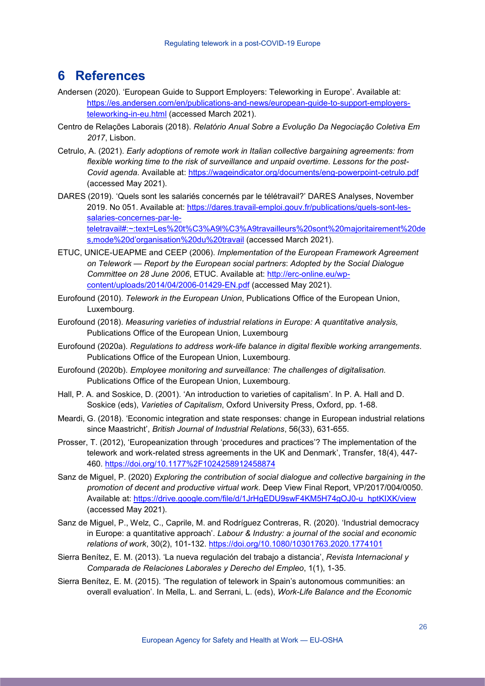# **6 References**

- Andersen (2020). 'European Guide to Support Employers: Teleworking in Europe'. Available at: [https://es.andersen.com/en/publications-and-news/european-guide-to-support-employers](https://es.andersen.com/en/publications-and-news/european-guide-to-support-employers-teleworking-in-eu.html)[teleworking-in-eu.html](https://es.andersen.com/en/publications-and-news/european-guide-to-support-employers-teleworking-in-eu.html) (accessed March 2021).
- Centro de Relações Laborais (2018). *Relatório Anual Sobre a Evolução Da Negociação Coletiva Em 2017*, Lisbon.
- Cetrulo, A. (2021). *Early adoptions of remote work in Italian collective bargaining agreements: from flexible working time to the risk of surveillance and unpaid overtime. Lessons for the post-Covid agenda*. Available at: <https://wageindicator.org/documents/eng-powerpoint-cetrulo.pdf> (accessed May 2021).
- DARES (2019). 'Quels sont les salariés concernés par le télétravail?' DARES Analyses, November 2019. No 051. Available at: [https://dares.travail-emploi.gouv.fr/publications/quels-sont-les](https://dares.travail-emploi.gouv.fr/publications/quels-sont-les-salaries-concernes-par-le-teletravail#:%7E:text=Les%20t%C3%A9l%C3%A9travailleurs%20sont%20majoritairement%20des,mode%20d)[salaries-concernes-par-le](https://dares.travail-emploi.gouv.fr/publications/quels-sont-les-salaries-concernes-par-le-teletravail#:%7E:text=Les%20t%C3%A9l%C3%A9travailleurs%20sont%20majoritairement%20des,mode%20d)[teletravail#:~:text=Les%20t%C3%A9l%C3%A9travailleurs%20sont%20majoritairement%20de](https://dares.travail-emploi.gouv.fr/publications/quels-sont-les-salaries-concernes-par-le-teletravail#:%7E:text=Les%20t%C3%A9l%C3%A9travailleurs%20sont%20majoritairement%20des,mode%20d) [s,mode%20d'organisation%20du%20travail](https://dares.travail-emploi.gouv.fr/publications/quels-sont-les-salaries-concernes-par-le-teletravail#:%7E:text=Les%20t%C3%A9l%C3%A9travailleurs%20sont%20majoritairement%20des,mode%20d) (accessed March 2021).
- ETUC, UNICE-UEAPME and CEEP (2006). *Implementation of the European Framework Agreement on Telework — Report by the European social partners*: *Adopted by the Social Dialogue Committee on 28 June 2006*, ETUC. Available at: [http://erc-online.eu/wp](http://erc-online.eu/wp-content/uploads/2014/04/2006-01429-EN.pdf)[content/uploads/2014/04/2006-01429-EN.pdf](http://erc-online.eu/wp-content/uploads/2014/04/2006-01429-EN.pdf) (accessed May 2021).
- Eurofound (2010). *Telework in the European Union*, Publications Office of the European Union, Luxembourg.
- Eurofound (2018). *Measuring varieties of industrial relations in Europe: A quantitative analysis,* Publications Office of the European Union, Luxembourg
- Eurofound (2020a). *Regulations to address work-life balance in digital flexible working arrangements*. Publications Office of the European Union, Luxembourg.
- Eurofound (2020b). *Employee monitoring and surveillance: The challenges of digitalisation.* Publications Office of the European Union, Luxembourg.
- Hall, P. A. and Soskice, D. (2001). 'An introduction to varieties of capitalism'. In P. A. Hall and D. Soskice (eds), *Varieties of Capitalism*, Oxford University Press, Oxford, pp. 1-68.
- Meardi, G. (2018). 'Economic integration and state responses: change in European industrial relations since Maastricht', *British Journal of Industrial Relations*, 56(33), 631-655.
- Prosser, T. (2012), 'Europeanization through 'procedures and practices'? The implementation of the telework and work-related stress agreements in the UK and Denmark', Transfer, 18(4), 447- 460.<https://doi.org/10.1177%2F1024258912458874>
- Sanz de Miguel, P. (2020) *Exploring the contribution of social dialogue and collective bargaining in the promotion of decent and productive virtual work*. Deep View Final Report, VP/2017/004/0050. Available at: [https://drive.google.com/file/d/1JrHgEDU9swF4KM5H74gOJ0-u\\_hptKIXK/view](https://drive.google.com/file/d/1JrHgEDU9swF4KM5H74gOJ0-u_hptKIXK/view) (accessed May 2021).
- Sanz de Miguel, P., Welz, C., Caprile, M. and Rodríguez Contreras, R. (2020). 'Industrial democracy in Europe: a quantitative approach'. *Labour & Industry: a journal of the social and economic relations of work*, 30(2), 101-132.<https://doi.org/10.1080/10301763.2020.1774101>
- Sierra Benítez, E. M. (2013). 'La nueva regulación del trabajo a distancia', *Revista Internacional y Comparada de Relaciones Laborales y Derecho del Empleo*, 1(1), 1-35.
- Sierra Benítez, E. M. (2015). 'The regulation of telework in Spain's autonomous communities: an overall evaluation'. In Mella, L. and Serrani, L. (eds), *Work-Life Balance and the Economic*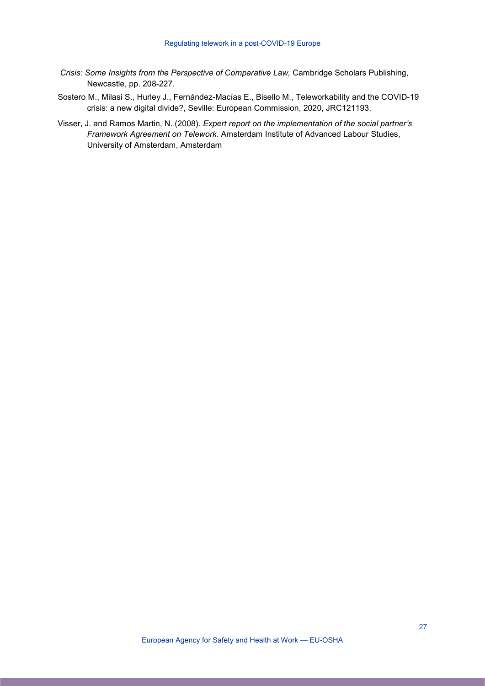- *Crisis: Some Insights from the Perspective of Comparative Law,* Cambridge Scholars Publishing, Newcastle, pp. 208-227.
- Sostero M., Milasi S., Hurley J., Fernández-Macías E., Bisello M., Teleworkability and the COVID-19 crisis: a new digital divide?, Seville: European Commission, 2020, JRC121193.
- Visser, J. and Ramos Martin, N. (2008). *Expert report on the implementation of the social partner's Framework Agreement on Telework*. Amsterdam Institute of Advanced Labour Studies, University of Amsterdam, Amsterdam